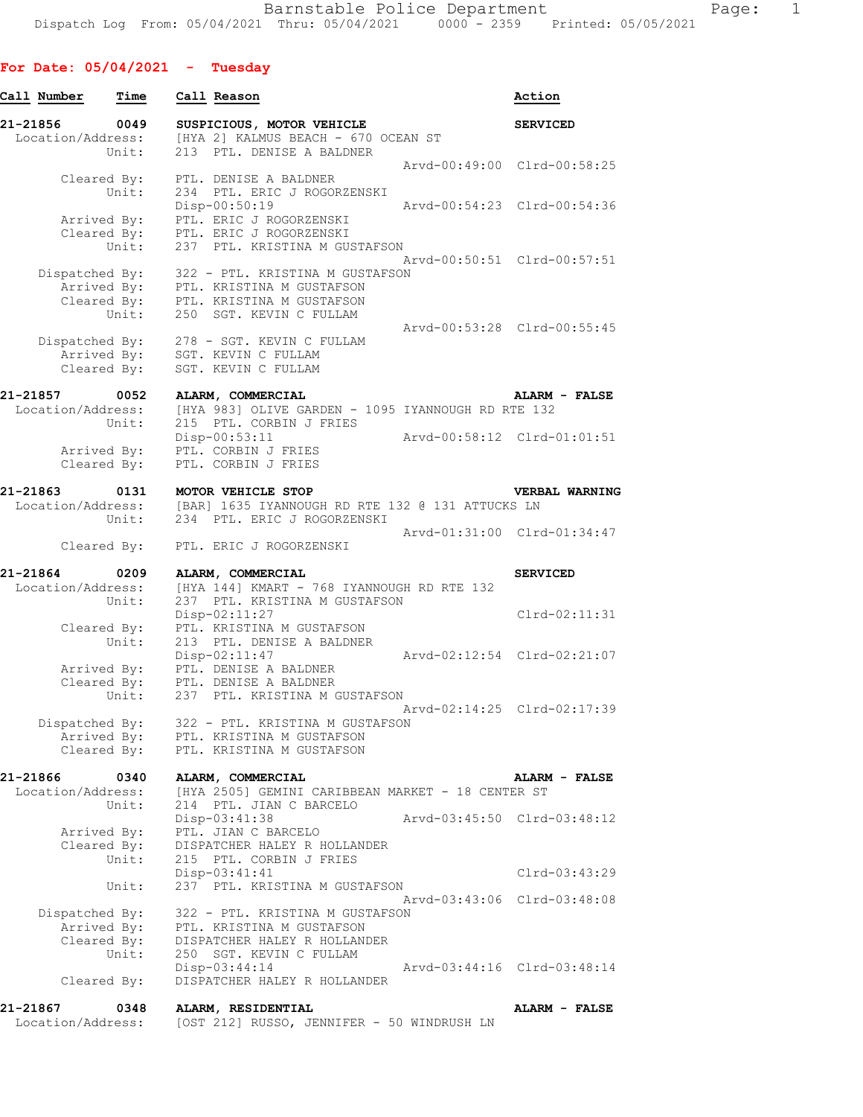## **For Date: 05/04/2021 - Tuesday**

| Call Number                   | Time                                               | Call Reason                                                                                                                                                              | Action                                                     |
|-------------------------------|----------------------------------------------------|--------------------------------------------------------------------------------------------------------------------------------------------------------------------------|------------------------------------------------------------|
| 21-21856<br>Location/Address: | 0049<br>Unit:                                      | SUSPICIOUS, MOTOR VEHICLE<br>[HYA 2] KALMUS BEACH - 670 OCEAN ST<br>213 PTL. DENISE A BALDNER                                                                            | <b>SERVICED</b>                                            |
|                               | Cleared By:<br>Unit:                               | PTL. DENISE A BALDNER<br>234 PTL. ERIC J ROGORZENSKI                                                                                                                     | Arvd-00:49:00 Clrd-00:58:25                                |
|                               | Arrived By:<br>Unit:                               | Disp-00:50:19<br>PTL. ERIC J ROGORZENSKI<br>Cleared By: PTL. ERIC J ROGORZENSKI<br>237 PTL. KRISTINA M GUSTAFSON                                                         | Arvd-00:54:23 Clrd-00:54:36                                |
| Dispatched By:                | Unit:                                              | 322 - PTL. KRISTINA M GUSTAFSON<br>Arrived By: PTL. KRISTINA M GUSTAFSON<br>Cleared By: PTL. KRISTINA M GUSTAFSON<br>250 SGT. KEVIN C FULLAM                             | Arvd-00:50:51 Clrd-00:57:51                                |
| Dispatched By:                | Arrived By:<br>Cleared By:                         | 278 - SGT. KEVIN C FULLAM<br>SGT. KEVIN C FULLAM<br>SGT. KEVIN C FULLAM                                                                                                  | Arvd-00:53:28 Clrd-00:55:45                                |
| 21-21857<br>Location/Address: | 0052<br>Unit:                                      | ALARM, COMMERCIAL<br>[HYA 983] OLIVE GARDEN - 1095 IYANNOUGH RD RTE 132<br>215 PTL. CORBIN J FRIES                                                                       | ALARM - FALSE                                              |
|                               | Arrived By:<br>Cleared By:                         | Disp-00:53:11<br>PTL. CORBIN J FRIES<br>PTL. CORBIN J FRIES                                                                                                              | Arvd-00:58:12 Clrd-01:01:51                                |
| 21-21863<br>Location/Address: | 0131<br>Unit:                                      | MOTOR VEHICLE STOP<br>[BAR] 1635 IYANNOUGH RD RTE 132 @ 131 ATTUCKS LN<br>234 PTL. ERIC J ROGORZENSKI                                                                    | VERBAL WARNING                                             |
|                               | Cleared By:                                        | PTL. ERIC J ROGORZENSKI                                                                                                                                                  | Arvd-01:31:00 Clrd-01:34:47                                |
| 21-21864<br>Location/Address: | 0209<br>Unit:                                      | ALARM, COMMERCIAL<br>[HYA 144] KMART - 768 IYANNOUGH RD RTE 132<br>237 PTL. KRISTINA M GUSTAFSON                                                                         | <b>SERVICED</b>                                            |
|                               | Cleared By:<br>Unit:                               | Disp-02:11:27<br>PTL. KRISTINA M GUSTAFSON<br>213 PTL. DENISE A BALDNER<br>$Disp-02:11:47$                                                                               | $Clrd-02:11:31$<br>Arvd-02:12:54 Clrd-02:21:07             |
|                               | Unit:                                              | Arrived By: PTL. DENISE A BALDNER<br>Cleared By: PTL. DENISE A BALDNER<br>237 PTL. KRISTINA M GUSTAFSON                                                                  |                                                            |
| Dispatched By:                | Arrived By:<br>Cleared By:                         | 322 - PTL. KRISTINA M GUSTAFSON<br>PTL. KRISTINA M GUSTAFSON<br>PTL. KRISTINA M GUSTAFSON                                                                                | Arvd-02:14:25 Clrd-02:17:39                                |
| 21-21866<br>Location/Address: | 0340<br>Unit:                                      | ALARM, COMMERCIAL<br>[HYA 2505] GEMINI CARIBBEAN MARKET - 18 CENTER ST<br>214 PTL. JIAN C BARCELO                                                                        | ALARM - FALSE                                              |
|                               | Arrived By:<br>Cleared By:<br>Unit:                | $Disp-03:41:38$<br>PTL. JIAN C BARCELO<br>DISPATCHER HALEY R HOLLANDER<br>215 PTL. CORBIN J FRIES                                                                        | Arvd-03:45:50 Clrd-03:48:12                                |
|                               | Unit:                                              | Disp-03:41:41<br>237 PTL. KRISTINA M GUSTAFSON                                                                                                                           | $Clrd-03:43:29$                                            |
| Dispatched By:                | Arrived By:<br>Cleared By:<br>Unit:<br>Cleared By: | 322 - PTL. KRISTINA M GUSTAFSON<br>PTL. KRISTINA M GUSTAFSON<br>DISPATCHER HALEY R HOLLANDER<br>250 SGT. KEVIN C FULLAM<br>Disp-03:44:14<br>DISPATCHER HALEY R HOLLANDER | Arvd-03:43:06 Clrd-03:48:08<br>Arvd-03:44:16 Clrd-03:48:14 |
| 21-21867<br>Location/Address: | 0348                                               | ALARM, RESIDENTIAL<br>[OST 212] RUSSO, JENNIFER - 50 WINDRUSH LN                                                                                                         | ALARM - FALSE                                              |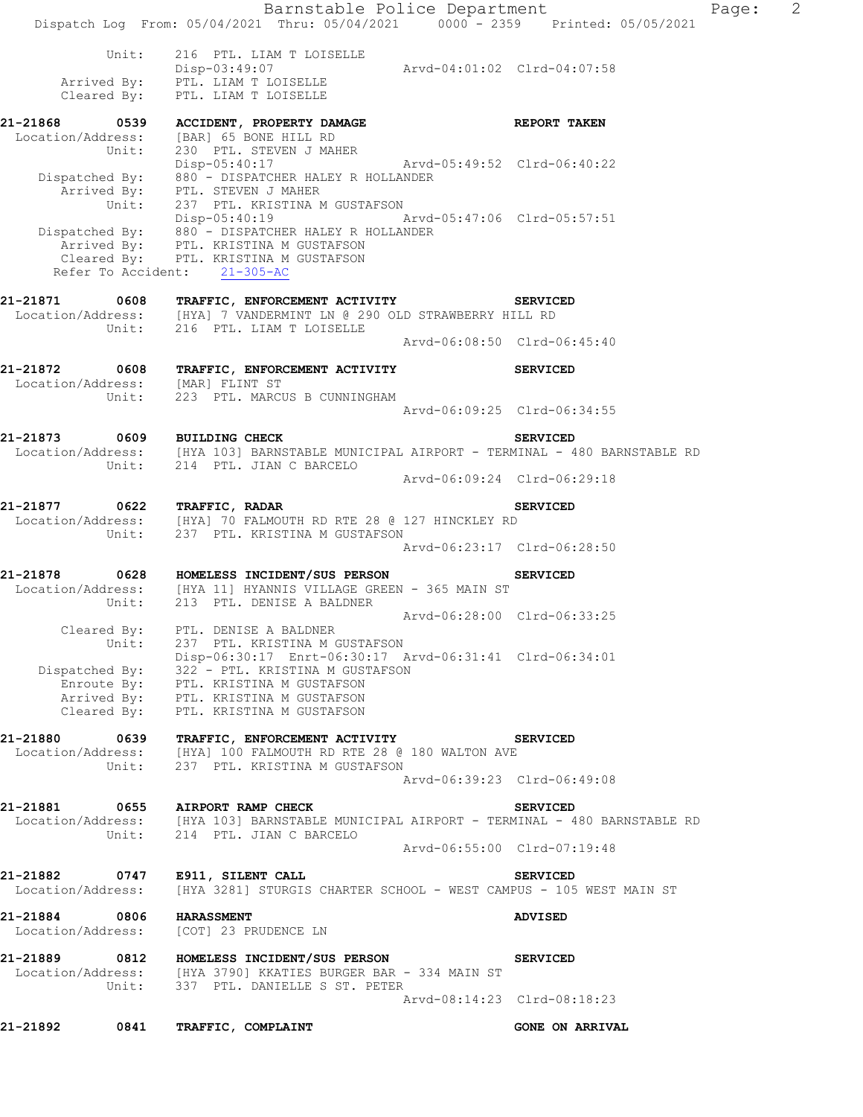Barnstable Police Department Page: 2 Dispatch Log From: 05/04/2021 Thru: 05/04/2021 0000 - 2359 Printed: 05/05/2021 Unit: 216 PTL. LIAM T LOISELLE Disp-03:49:07 Arvd-04:01:02 Clrd-04:07:58 Arrived By: PTL. LIAM T LOISELLE Cleared By: PTL. LIAM T LOISELLE **21-21868 0539 ACCIDENT, PROPERTY DAMAGE REPORT TAKEN**  Location/Address: [BAR] 65 BONE HILL RD Unit: 230 PTL. STEVEN J MAHER Disp-05:40:17 Arvd-05:49:52 Clrd-06:40:22 Dispatched By: 880 - DISPATCHER HALEY R HOLLANDER .<br>Arrived By: PTL. STEVEN J MAHER Unit: 237 PTL. KRISTINA M GUSTAFSON Disp-05:40:19 Arvd-05:47:06 Clrd-05:57:51 Dispatched By: 880 - DISPATCHER HALEY R HOLLANDER .<br>Arrived By: PTL. KRISTINA M GUSTAFSON Cleared By: PTL. KRISTINA M GUSTAFSON Refer To Accident: 21-305-AC **21-21871 0608 TRAFFIC, ENFORCEMENT ACTIVITY SERVICED**  Location/Address: [HYA] 7 VANDERMINT LN @ 290 OLD STRAWBERRY HILL RD Unit: 216 PTL. LIAM T LOISELLE Arvd-06:08:50 Clrd-06:45:40 **21-21872 0608 TRAFFIC, ENFORCEMENT ACTIVITY SERVICED**  Location/Address: [MAR] FLINT ST Unit: 223 PTL. MARCUS B CUNNINGHAM Arvd-06:09:25 Clrd-06:34:55 **21-21873 0609 BUILDING CHECK SERVICED**  Location/Address: [HYA 103] BARNSTABLE MUNICIPAL AIRPORT - TERMINAL - 480 BARNSTABLE RD Unit: 214 PTL. JIAN C BARCELO Arvd-06:09:24 Clrd-06:29:18 **21-21877 0622 TRAFFIC, RADAR SERVICED**  Location/Address: [HYA] 70 FALMOUTH RD RTE 28 @ 127 HINCKLEY RD Unit: 237 PTL. KRISTINA M GUSTAFSON Arvd-06:23:17 Clrd-06:28:50 **21-21878 0628 HOMELESS INCIDENT/SUS PERSON SERVICED**  Location/Address: [HYA 11] HYANNIS VILLAGE GREEN - 365 MAIN ST Unit: 213 PTL. DENISE A BALDNER Arvd-06:28:00 Clrd-06:33:25 Cleared By: PTL. DENISE A BALDNER Unit: 237 PTL. KRISTINA M GUSTAFSON Disp-06:30:17 Enrt-06:30:17 Arvd-06:31:41 Clrd-06:34:01 Dispatched By: 322 - PTL. KRISTINA M GUSTAFSON Enroute By: PTL. KRISTINA M GUSTAFSON Arrived By: PTL. KRISTINA M GUSTAFSON Cleared By: PTL. KRISTINA M GUSTAFSON **21-21880 0639 TRAFFIC, ENFORCEMENT ACTIVITY SERVICED**  Location/Address: [HYA] 100 FALMOUTH RD RTE 28 @ 180 WALTON AVE Unit: 237 PTL. KRISTINA M GUSTAFSON Arvd-06:39:23 Clrd-06:49:08 **21-21881 0655 AIRPORT RAMP CHECK SERVICED**  Location/Address: [HYA 103] BARNSTABLE MUNICIPAL AIRPORT - TERMINAL - 480 BARNSTABLE RD Unit: 214 PTL. JIAN C BARCELO Arvd-06:55:00 Clrd-07:19:48 **21-21882 0747 E911, SILENT CALL SERVICED**  Location/Address: [HYA 3281] STURGIS CHARTER SCHOOL - WEST CAMPUS - 105 WEST MAIN ST **21-21884 0806 HARASSMENT ADVISED**  Location/Address: [COT] 23 PRUDENCE LN **21-21889 0812 HOMELESS INCIDENT/SUS PERSON SERVICED**  Location/Address: [HYA 3790] KKATIES BURGER BAR - 334 MAIN ST Unit: 337 PTL. DANIELLE S ST. PETER Arvd-08:14:23 Clrd-08:18:23 21-21892 0841 TRAFFIC, COMPLAINT **GONE ON ARRIVAL**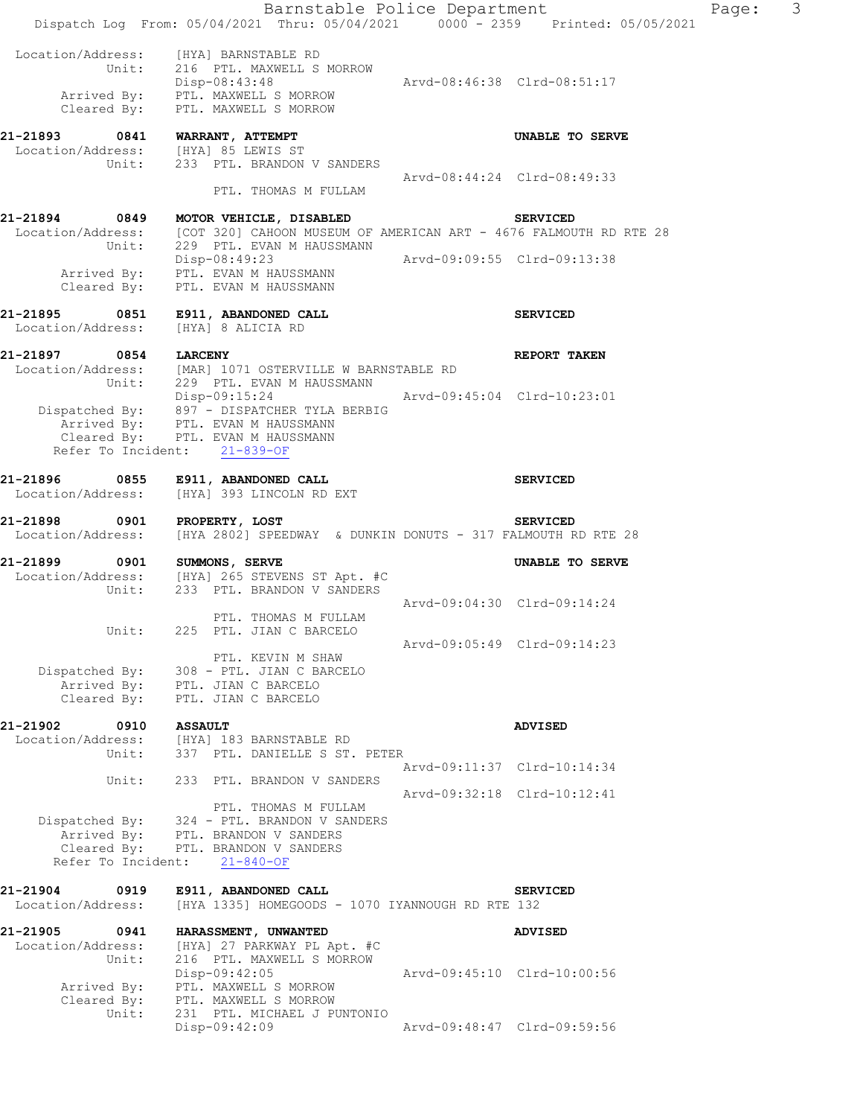|                                                                    | Barnstable Police Department<br>Dispatch Log From: 05/04/2021 Thru: 05/04/2021   0000 - 2359   Printed: 05/05/2021                                                                                 |                             |                                               | Page: | 3 |
|--------------------------------------------------------------------|----------------------------------------------------------------------------------------------------------------------------------------------------------------------------------------------------|-----------------------------|-----------------------------------------------|-------|---|
|                                                                    | Location/Address: [HYA] BARNSTABLE RD<br>Unit: 216 PTL. MAXWELL S MORROW<br>Disp-08:43:48<br>Arrived By: PTL. MAXWELL S MORROW<br>Cleared By: PTL. MAXWELL S MORROW                                | Arvd-08:46:38 Clrd-08:51:17 |                                               |       |   |
| 21-21893 0841 WARRANT, ATTEMPT                                     | Location/Address: [HYA] 85 LEWIS ST<br>Unit: 233 PTL. BRANDON V SANDERS                                                                                                                            |                             | UNABLE TO SERVE                               |       |   |
|                                                                    | PTL. THOMAS M FULLAM                                                                                                                                                                               | Arvd-08:44:24 Clrd-08:49:33 |                                               |       |   |
|                                                                    | 21-21894 0849 MOTOR VEHICLE, DISABLED<br>Location/Address: [COT 320] CAHOON MUSEUM OF AMERICAN ART - 4676 FALMOUTH RD RTE 28<br>Unit: 229 PTL. EVAN M HAUSSMANN                                    |                             | <b>SERVICED</b>                               |       |   |
|                                                                    | Disp-08:49:23 Arvd-09:09:55 Clrd-09:13:38<br>Arrived By: PTL. EVAN M HAUSSMANN<br>Cleared By: PTL. EVAN M HAUSSMANN                                                                                |                             |                                               |       |   |
| Location/Address:                                                  | 21-21895 0851 E911, ABANDONED CALL<br>[HYA] 8 ALICIA RD                                                                                                                                            |                             | <b>SERVICED</b>                               |       |   |
| 21-21897 0854 LARCENY                                              | Location/Address: [MAR] 1071 OSTERVILLE W BARNSTABLE RD<br>Unit: 229 PTL. EVAN M HAUSSMANN                                                                                                         |                             | REPORT TAKEN                                  |       |   |
|                                                                    | Disp-09:15:24 Arvd-09:45:04 Clrd-10:23:01<br>Dispatched By: 897 - DISPATCHER TYLA BERBIG<br>Arrived By: PTL. EVAN M HAUSSMANN<br>Cleared By: PTL. EVAN M HAUSSMANN<br>Refer To Incident: 21-839-OF |                             |                                               |       |   |
|                                                                    | 21-21896 0855 E911, ABANDONED CALL<br>Location/Address: [HYA] 393 LINCOLN RD EXT                                                                                                                   |                             | <b>SERVICED</b>                               |       |   |
| 21-21898 0901 PROPERTY, LOST                                       | Location/Address: [HYA 2802] SPEEDWAY & DUNKIN DONUTS - 317 FALMOUTH RD RTE 28                                                                                                                     |                             | <b>SERVICED</b>                               |       |   |
| 21-21899 0901 SUMMONS, SERVE                                       | Location/Address: [HYA] 265 STEVENS ST Apt. #C<br>Unit: 233 PTL. BRANDON V SANDERS                                                                                                                 |                             | UNABLE TO SERVE                               |       |   |
| Unit:                                                              | PTL. THOMAS M FULLAM<br>225 PTL. JIAN C BARCELO                                                                                                                                                    |                             | Arvd-09:04:30 Clrd-09:14:24                   |       |   |
| Dispatched By:<br>Arrived By:<br>Cleared By:                       | PTL. KEVIN M SHAW<br>308 - PTL. JIAN C BARCELO<br>PTL. JIAN C BARCELO<br>PTL. JIAN C BARCELO                                                                                                       |                             | Arvd-09:05:49 Clrd-09:14:23                   |       |   |
| 21-21902<br>0910                                                   | <b>ASSAULT</b>                                                                                                                                                                                     |                             | <b>ADVISED</b>                                |       |   |
| Location/Address:<br>Unit:                                         | [HYA] 183 BARNSTABLE RD<br>337 PTL. DANIELLE S ST. PETER                                                                                                                                           |                             |                                               |       |   |
| Unit:                                                              | 233 PTL. BRANDON V SANDERS                                                                                                                                                                         |                             | Arvd-09:11:37 Clrd-10:14:34                   |       |   |
| Dispatched By:<br>Arrived By:<br>Cleared By:<br>Refer To Incident: | PTL. THOMAS M FULLAM<br>324 - PTL. BRANDON V SANDERS<br>PTL. BRANDON V SANDERS<br>PTL. BRANDON V SANDERS<br>$21 - 840 - OF$                                                                        |                             | Arvd-09:32:18 Clrd-10:12:41                   |       |   |
| 0919<br>21-21904<br>Location/Address:                              | E911, ABANDONED CALL<br>[HYA 1335] HOMEGOODS - 1070 IYANNOUGH RD RTE 132                                                                                                                           |                             | <b>SERVICED</b>                               |       |   |
| 21-21905<br>0941<br>Location/Address:<br>Unit:                     | HARASSMENT, UNWANTED<br>[HYA] 27 PARKWAY PL Apt. #C<br>216 PTL. MAXWELL S MORROW<br>Disp-09:42:05                                                                                                  |                             | <b>ADVISED</b><br>Arvd-09:45:10 Clrd-10:00:56 |       |   |
| Arrived By:<br>Cleared By:<br>Unit:                                | PTL. MAXWELL S MORROW<br>PTL. MAXWELL S MORROW<br>231 PTL. MICHAEL J PUNTONIO<br>Disp-09:42:09                                                                                                     |                             | Arvd-09:48:47 Clrd-09:59:56                   |       |   |
|                                                                    |                                                                                                                                                                                                    |                             |                                               |       |   |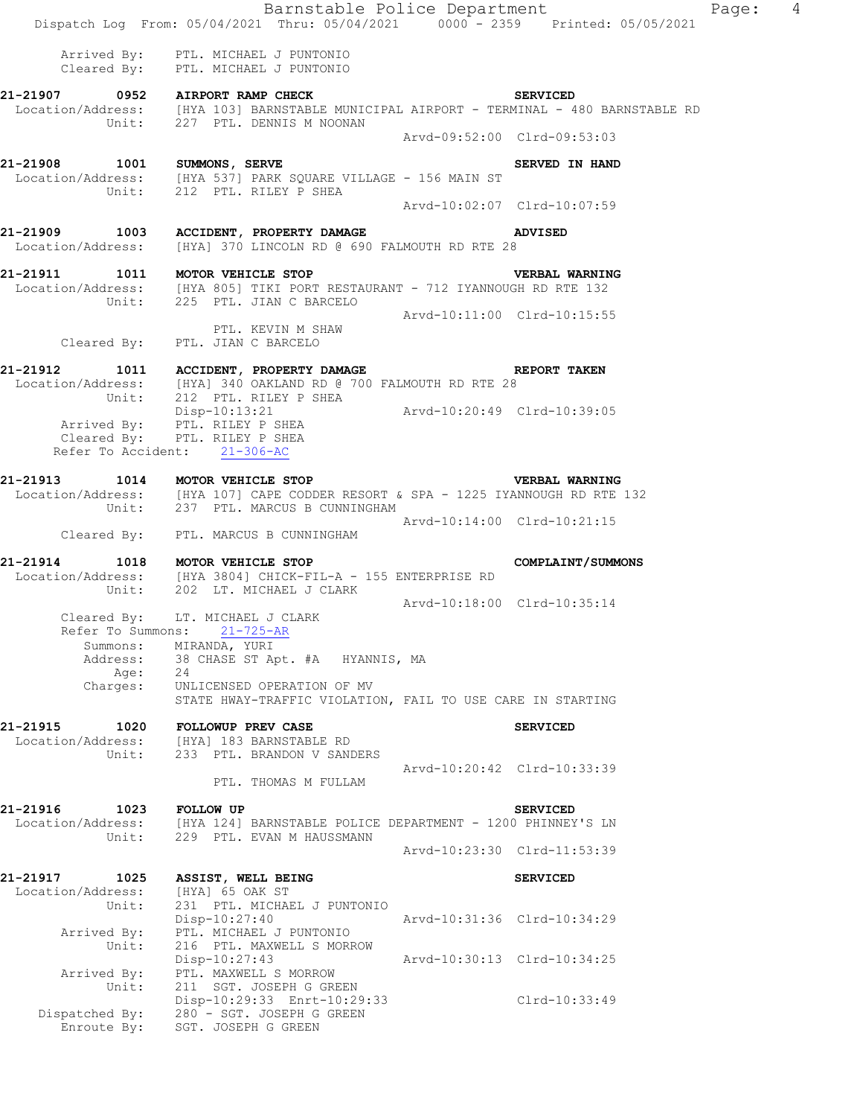|                                                | Barnstable Police Department<br>Dispatch Log From: 05/04/2021 Thru: 05/04/2021 0000 - 2359 Printed: 05/05/2021                                                |                             |                                                | Page: 4 |  |
|------------------------------------------------|---------------------------------------------------------------------------------------------------------------------------------------------------------------|-----------------------------|------------------------------------------------|---------|--|
|                                                | Arrived By: PTL. MICHAEL J PUNTONIO<br>Cleared By: PTL. MICHAEL J PUNTONIO                                                                                    |                             |                                                |         |  |
|                                                | 21-21907 0952 AIRPORT RAMP CHECK<br>Location/Address: [HYA 103] BARNSTABLE MUNICIPAL AIRPORT - TERMINAL - 480 BARNSTABLE RD<br>Unit: 227 PTL. DENNIS M NOONAN | <b>SERVICED</b>             |                                                |         |  |
|                                                |                                                                                                                                                               | Arvd-09:52:00 Clrd-09:53:03 |                                                |         |  |
|                                                | 21-21908    1001    SUMMONS, SERVE<br>Location/Address: [HYA 537] PARK SQUARE VILLAGE - 156 MAIN ST<br>Unit: 212 PTL. RILEY P SHEA                            |                             | SERVED IN HAND                                 |         |  |
|                                                |                                                                                                                                                               | Arvd-10:02:07 Clrd-10:07:59 |                                                |         |  |
|                                                | 21-21909 1003 ACCIDENT, PROPERTY DAMAGE ADVISED<br>Location/Address: [HYA] 370 LINCOLN RD @ 690 FALMOUTH RD RTE 28                                            |                             |                                                |         |  |
|                                                | 21-21911 1011 MOTOR VEHICLE STOP<br>Location/Address: [HYA 805] TIKI PORT RESTAURANT - 712 IYANNOUGH RD RTE 132<br>Unit: 225 PTL. JIAN C BARCELO              |                             | VERBAL WARNING                                 |         |  |
|                                                | PTL. KEVIN M SHAW<br>Cleared By: PTL. JIAN C BARCELO                                                                                                          | Arvd-10:11:00 Clrd-10:15:55 |                                                |         |  |
|                                                | 21-21912   1011   ACCIDENT, PROPERTY DAMAGE   REPORT TAKEN Location/Address: [HYA] 340 OAKLAND RD @ 700 FALMOUTH RD RTE 28<br>Unit: 212 PTL. RILEY P SHEA     |                             |                                                |         |  |
|                                                | Disp-10:13:21<br>Arrived By: PTL. RILEY P SHEA<br>Cleared By: PTL. RILEY P SHEA<br>Refer To Accident: 21-306-AC                                               | Arvd-10:20:49 Clrd-10:39:05 |                                                |         |  |
|                                                | 21-21913 1014 MOTOR VEHICLE STOP                                                                                                                              |                             | <b>VERBAL WARNING</b>                          |         |  |
|                                                | Location/Address: [HYA 107] CAPE CODDER RESORT & SPA - 1225 IYANNOUGH RD RTE 132<br>Unit: 237 PTL. MARCUS B CUNNINGHAM                                        |                             |                                                |         |  |
|                                                | Cleared By: PTL. MARCUS B CUNNINGHAM                                                                                                                          | Arvd-10:14:00 Clrd-10:21:15 |                                                |         |  |
|                                                | 21-21914 1018 MOTOR VEHICLE STOP<br>Location/Address: [HYA 3804] CHICK-FIL-A - 155 ENTERPRISE RD<br>Unit: 202 LT. MICHAEL J CLARK                             |                             | <b>COMPLAINT/SUMMONS</b>                       |         |  |
| Summons:                                       | Cleared By: LT. MICHAEL J CLARK<br>Refer To Summons: 21-725-AR<br>MIRANDA, YURI                                                                               | Arvd-10:18:00 Clrd-10:35:14 |                                                |         |  |
| Address:<br>Age:                               | 38 CHASE ST Apt. #A HYANNIS, MA<br>24                                                                                                                         |                             |                                                |         |  |
| Charges:                                       | UNLICENSED OPERATION OF MV<br>STATE HWAY-TRAFFIC VIOLATION, FAIL TO USE CARE IN STARTING                                                                      |                             |                                                |         |  |
| 21-21915<br>1020<br>Location/Address:          | <b>FOLLOWUP PREV CASE</b><br>[HYA] 183 BARNSTABLE RD<br>Unit: 233 PTL. BRANDON V SANDERS                                                                      |                             | <b>SERVICED</b>                                |         |  |
|                                                | PTL. THOMAS M FULLAM                                                                                                                                          |                             | Arvd-10:20:42 Clrd-10:33:39                    |         |  |
| 21-21916<br>1023                               | <b>FOLLOW UP</b><br>Location/Address: [HYA 124] BARNSTABLE POLICE DEPARTMENT - 1200 PHINNEY'S LN<br>Unit: 229 PTL. EVAN M HAUSSMANN                           |                             | <b>SERVICED</b>                                |         |  |
|                                                |                                                                                                                                                               |                             | Arvd-10:23:30 Clrd-11:53:39                    |         |  |
| 21-21917<br>1025<br>Location/Address:<br>Unit: | ASSIST, WELL BEING<br>[HYA] 65 OAK ST<br>231 PTL. MICHAEL J PUNTONIO<br>Disp-10:27:40                                                                         |                             | <b>SERVICED</b><br>Arvd-10:31:36 Clrd-10:34:29 |         |  |
| Arrived By:<br>Unit:                           | PTL. MICHAEL J PUNTONIO<br>216 PTL. MAXWELL S MORROW<br>$Disp-10:27:43$                                                                                       |                             | Arvd-10:30:13 Clrd-10:34:25                    |         |  |
| Unit:                                          | Arrived By: PTL. MAXWELL S MORROW<br>211 SGT. JOSEPH G GREEN<br>Disp-10:29:33 Enrt-10:29:33                                                                   |                             | Clrd-10:33:49                                  |         |  |
| Enroute By:                                    | Dispatched By: 280 - SGT. JOSEPH G GREEN<br>SGT. JOSEPH G GREEN                                                                                               |                             |                                                |         |  |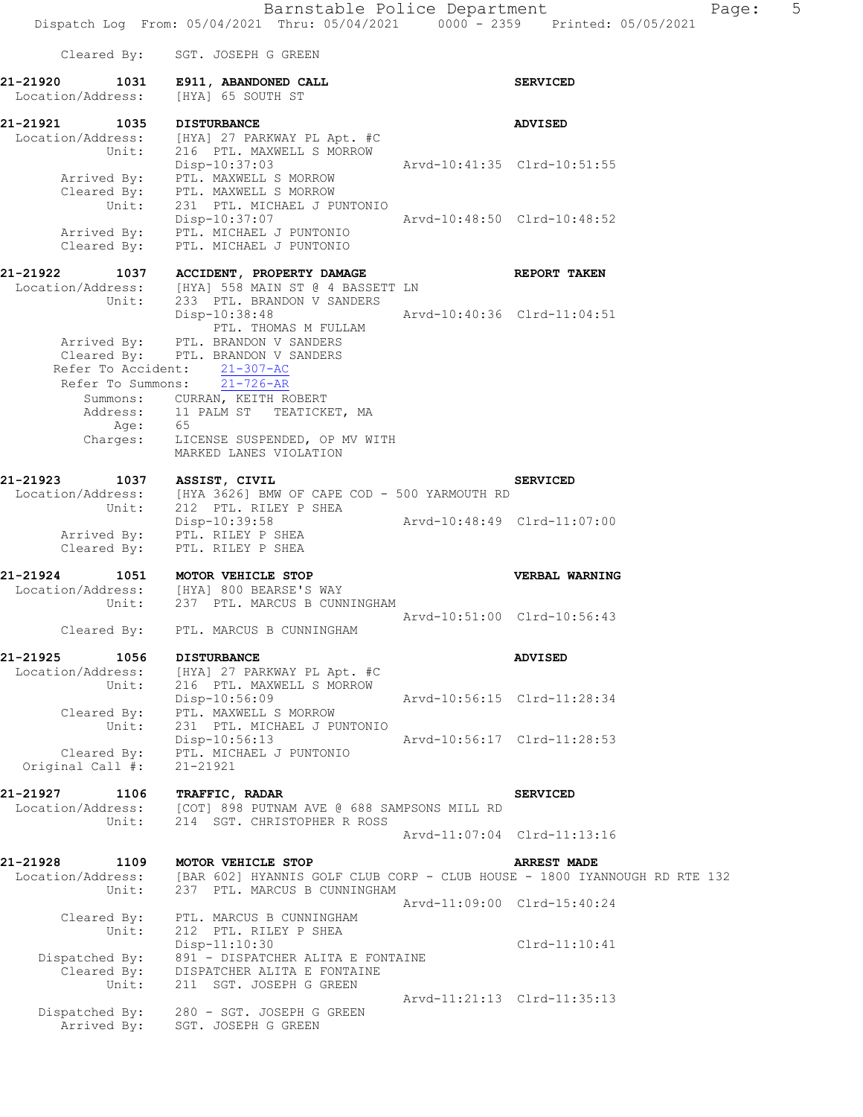|                                                | Cleared By: SGT. JOSEPH G GREEN                                                                                                 |                             |                             |
|------------------------------------------------|---------------------------------------------------------------------------------------------------------------------------------|-----------------------------|-----------------------------|
|                                                | 21-21920 1031 E911, ABANDONED CALL<br>Location/Address: [HYA] 65 SOUTH ST                                                       |                             | <b>SERVICED</b>             |
| 21-21921                                       | 1035 DISTURBANCE                                                                                                                |                             | <b>ADVISED</b>              |
| Unit:                                          | Location/Address: [HYA] 27 PARKWAY PL Apt. #C<br>216 PTL. MAXWELL S MORROW<br>Disp-10:37:03                                     | Arvd-10:41:35 Clrd-10:51:55 |                             |
|                                                | Arrived By: PTL. MAXWELL S MORROW<br>Cleared By: PTL. MAXWELL S MORROW<br>Unit: 231 PTL. MICHAEL J PUNTONIO                     |                             |                             |
|                                                | Disp-10:37:07<br>Arrived By: PTL. MICHAEL J PUNTONIO<br>Cleared By: PTL. MICHAEL J PUNTONIO                                     | Arvd-10:48:50 Clrd-10:48:52 |                             |
| 21-21922                                       | 1037 ACCIDENT, PROPERTY DAMAGE                                                                                                  |                             | <b>REPORT TAKEN</b>         |
|                                                | Location/Address: [HYA] 558 MAIN ST @ 4 BASSETT LN                                                                              |                             |                             |
| Unit:                                          | 233 PTL. BRANDON V SANDERS<br>Disp-10:38:48<br>PTL. THOMAS M FULLAM                                                             | Arvd-10:40:36 Clrd-11:04:51 |                             |
|                                                | Arrived By: PTL. BRANDON V SANDERS<br>Cleared By: PTL. BRANDON V SANDERS<br>Refer To Accident: 21-307-AC                        |                             |                             |
|                                                | Refer To Summons: $\overline{21-726-AR}$<br>Summons: CURRAN, KEITH ROBERT                                                       |                             |                             |
|                                                | Address: 11 PALM ST TEATICKET, MA<br>Age: 65                                                                                    |                             |                             |
| Charges:                                       | LICENSE SUSPENDED, OP MV WITH<br>MARKED LANES VIOLATION                                                                         |                             |                             |
|                                                | 21-21923 1037 ASSIST, CIVIL<br>Location/Address: [HYA 3626] BMW OF CAPE COD - 500 YARMOUTH RD                                   |                             | <b>SERVICED</b>             |
|                                                |                                                                                                                                 |                             |                             |
|                                                | Unit: 212 PTL. RILEY P SHEA<br>Disp-10:39:58<br>Arrived By: PTL. RILEY P SHEA                                                   | Arvd-10:48:49 Clrd-11:07:00 |                             |
|                                                | Cleared By: PTL. RILEY P SHEA                                                                                                   |                             |                             |
| 21-21924                                       | 1051 MOTOR VEHICLE STOP                                                                                                         |                             | VERBAL WARNING              |
|                                                | Location/Address: [HYA] 800 BEARSE'S WAY<br>Unit: 237 PTL. MARCUS B CUNNINGHAM                                                  |                             | Arvd-10:51:00 Clrd-10:56:43 |
|                                                | Cleared By: PTL. MARCUS B CUNNINGHAM                                                                                            |                             |                             |
| 21-21925<br>1056                               | <b>DISTURBANCE</b>                                                                                                              |                             | <b>ADVISED</b>              |
| Unit:                                          | Location/Address: [HYA] 27 PARKWAY PL Apt. #C<br>216 PTL. MAXWELL S MORROW<br>Disp-10:56:09                                     |                             | Arvd-10:56:15 Clrd-11:28:34 |
| Cleared By:<br>Unit:                           | PTL. MAXWELL S MORROW<br>231 PTL. MICHAEL J PUNTONIO                                                                            |                             |                             |
| Cleared By:<br>Original Call #:                | Disp-10:56:13<br>PTL. MICHAEL J PUNTONIO<br>$21 - 21921$                                                                        |                             | Arvd-10:56:17 Clrd-11:28:53 |
| 21-21927<br>1106                               | TRAFFIC, RADAR                                                                                                                  |                             | <b>SERVICED</b>             |
| Location/Address:<br>Unit:                     | [COT] 898 PUTNAM AVE @ 688 SAMPSONS MILL RD<br>214 SGT. CHRISTOPHER R ROSS                                                      |                             |                             |
|                                                |                                                                                                                                 |                             | Arvd-11:07:04 Clrd-11:13:16 |
| 21-21928<br>1109<br>Location/Address:<br>Unit: | MOTOR VEHICLE STOP<br>[BAR 602] HYANNIS GOLF CLUB CORP - CLUB HOUSE - 1800 IYANNOUGH RD RTE 132<br>237 PTL. MARCUS B CUNNINGHAM |                             | <b>ARREST MADE</b>          |
| Cleared By:<br>Unit:                           | PTL. MARCUS B CUNNINGHAM<br>212 PTL. RILEY P SHEA                                                                               |                             | Arvd-11:09:00 Clrd-15:40:24 |
|                                                | $Disp-11:10:30$                                                                                                                 |                             | $Clrd-11:10:41$             |
| Dispatched By:<br>Cleared By:<br>Unit:         | 891 - DISPATCHER ALITA E FONTAINE<br>DISPATCHER ALITA E FONTAINE<br>211 SGT. JOSEPH G GREEN                                     |                             |                             |
| Dispatched By:                                 | 280 - SGT. JOSEPH G GREEN<br>Arrived By: SGT, JOSEPH G GREEN                                                                    |                             | Arvd-11:21:13 Clrd-11:35:13 |
|                                                |                                                                                                                                 |                             |                             |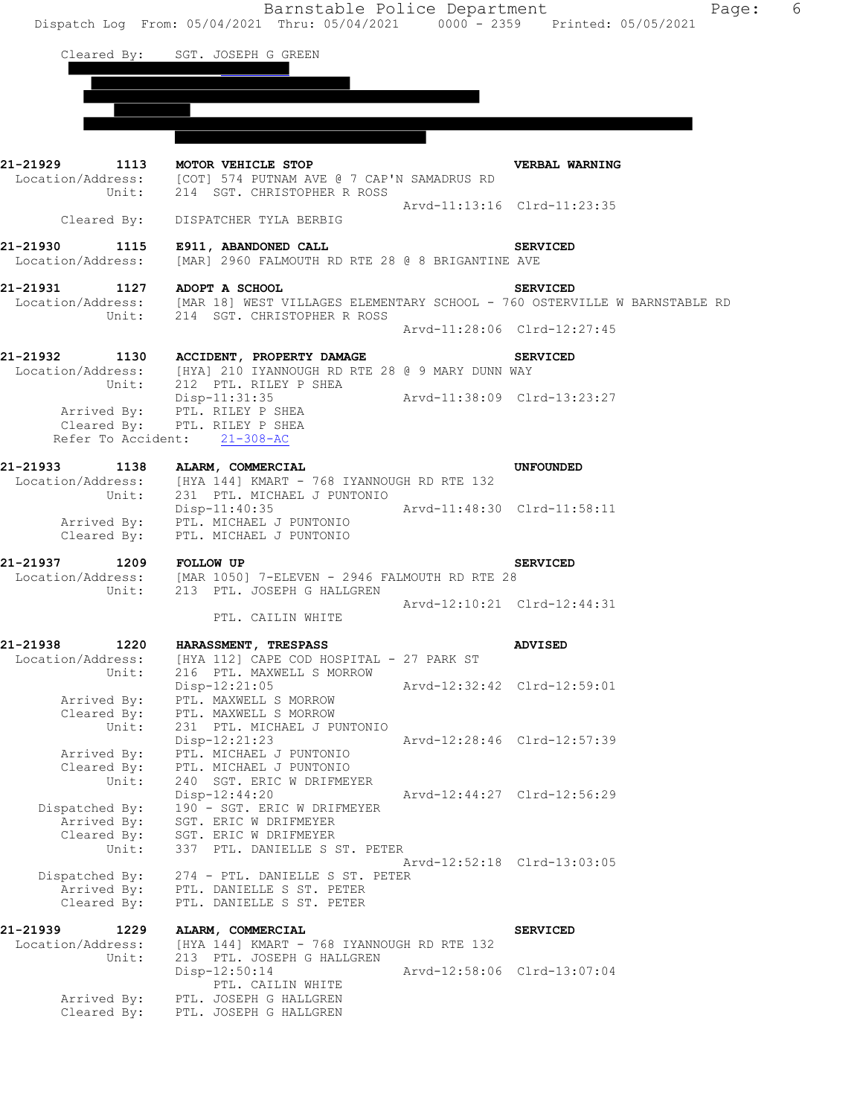Cleared By: SGT. JOSEPH G GREEN

|                                              | 21-21929 1113 MOTOR VEHICLE STOP<br>Location/Address: [COT] 574 PUTNAM AVE @ 7 CAP'N SAMADRUS RD<br>Unit: 214 SGT. CHRISTOPHER R ROSS      |                             | VERBAL WARNING              |
|----------------------------------------------|--------------------------------------------------------------------------------------------------------------------------------------------|-----------------------------|-----------------------------|
|                                              | Cleared By: DISPATCHER TYLA BERBIG                                                                                                         | Arvd-11:13:16 Clrd-11:23:35 |                             |
|                                              | 21-21930 1115 E911, ABANDONED CALL<br>Location/Address: [MAR] 2960 FALMOUTH RD RTE 28 @ 8 BRIGANTINE AVE                                   | <b>SERVICED</b>             |                             |
| 21-21931 1127 ADOPT A SCHOOL                 | Location/Address: [MAR 18] WEST VILLAGES ELEMENTARY SCHOOL - 760 OSTERVILLE W BARNSTABLE RD<br>Unit: 214 SGT. CHRISTOPHER R ROSS           |                             | <b>SERVICED</b>             |
|                                              |                                                                                                                                            |                             | Arvd-11:28:06 Clrd-12:27:45 |
|                                              | 21-21932 1130 ACCIDENT, PROPERTY DAMAGE<br>Location/Address: [HYA] 210 IYANNOUGH RD RTE 28 @ 9 MARY DUNN WAY                               |                             | <b>SERVICED</b>             |
|                                              | Unit: 212 PTL. RILEY P SHEA<br>Disp-11:31:35 Arvd-11:38:09 Clrd-13:23:27<br>Arrived By: PTL. RILEY P SHEA<br>Cleared By: PTL. RILEY P SHEA |                             |                             |
|                                              | Refer To Accident: 21-308-AC                                                                                                               |                             |                             |
| 21-21933 1138 ALARM, COMMERCIAL<br>Unit:     | Location/Address: [HYA 144] KMART - 768 IYANNOUGH RD RTE 132<br>231 PTL. MICHAEL J PUNTONIO                                                |                             | UNFOUNDED                   |
|                                              | Disp-11:40:35 Arvd-11:48:30 Clrd-11:58:11<br>Arrived By: PTL. MICHAEL J PUNTONIO<br>Cleared By: PTL. MICHAEL J PUNTONIO                    |                             |                             |
|                                              | 21-21937 1209 FOLLOW UP 5<br>Location/Address: [MAR 1050] 7-ELEVEN - 2946 FALMOUTH RD RTE 28                                               |                             | <b>SERVICED</b>             |
|                                              | Unit: 213 PTL. JOSEPH G HALLGREN                                                                                                           |                             |                             |
|                                              | PTL. CAILIN WHITE                                                                                                                          |                             | Arvd-12:10:21 Clrd-12:44:31 |
|                                              | 21-21938 1220 HARASSMENT, TRESPASS                                                                                                         |                             | <b>ADVISED</b>              |
| Unit:                                        | Location/Address: [HYA 112] CAPE COD HOSPITAL - 27 PARK ST<br>216 PTL. MAXWELL S MORROW                                                    |                             |                             |
| Arrived By:<br>Cleared By:                   | $Disp-12:21:05$<br>PTL. MAXWELL S MORROW<br>PTL. MAXWELL S MORROW                                                                          | Arvd-12:32:42 Clrd-12:59:01 |                             |
| Unit:<br>Arrived By:                         | 231 PTL. MICHAEL J PUNTONIO<br>Disp-12:21:23<br>PTL. MICHAEL J PUNTONIO                                                                    |                             | Arvd-12:28:46 Clrd-12:57:39 |
| Cleared By:<br>Unit:                         | PTL. MICHAEL J PUNTONIO<br>240 SGT. ERIC W DRIFMEYER                                                                                       |                             |                             |
| Dispatched By:<br>Arrived By:                | $Disp-12:44:20$<br>190 - SGT. ERIC W DRIFMEYER<br>SGT. ERIC W DRIFMEYER                                                                    |                             | Arvd-12:44:27 Clrd-12:56:29 |
| Cleared By:<br>Unit:                         | SGT. ERIC W DRIFMEYER<br>337 PTL. DANIELLE S ST. PETER                                                                                     |                             |                             |
| Dispatched By:<br>Arrived By:<br>Cleared By: | 274 - PTL. DANIELLE S ST. PETER<br>PTL. DANIELLE S ST. PETER<br>PTL. DANIELLE S ST. PETER                                                  |                             | Arvd-12:52:18 Clrd-13:03:05 |
| 21-21939<br>1229                             | ALARM, COMMERCIAL                                                                                                                          |                             | <b>SERVICED</b>             |
| Location/Address:<br>Unit:                   | [HYA 144] KMART - 768 IYANNOUGH RD RTE 132<br>213 PTL. JOSEPH G HALLGREN<br>Disp-12:50:14                                                  |                             | Arvd-12:58:06 Clrd-13:07:04 |
| Arrived By:<br>Cleared By:                   | PTL. CAILIN WHITE<br>PTL. JOSEPH G HALLGREN<br>PTL. JOSEPH G HALLGREN                                                                      |                             |                             |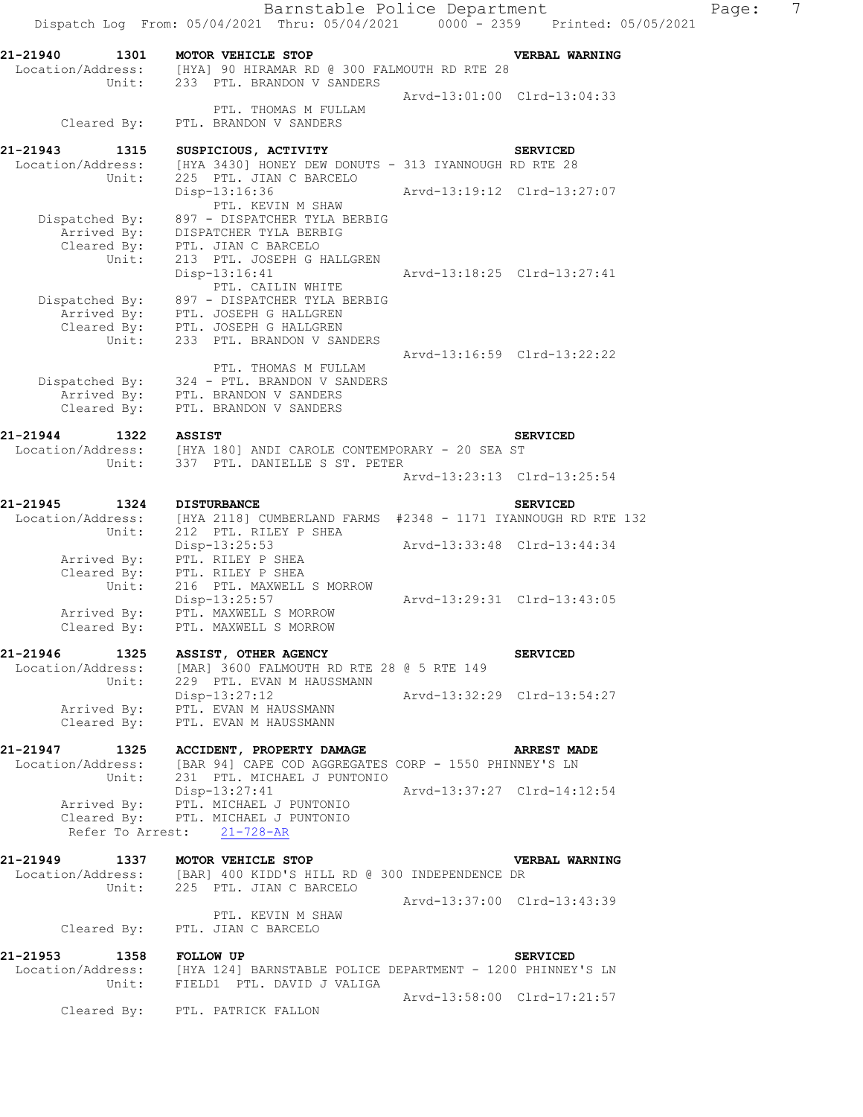|                                                       | Dispatch Log From: 05/04/2021 Thru: 05/04/2021 0000 - 2359 Printed: 05/05/2021                                                                                                 | Barnstable Police Department |                             | Page: | 7 |
|-------------------------------------------------------|--------------------------------------------------------------------------------------------------------------------------------------------------------------------------------|------------------------------|-----------------------------|-------|---|
| 21-21940<br>1301                                      | MOTOR VEHICLE STOP<br>Location/Address: [HYA] 90 HIRAMAR RD @ 300 FALMOUTH RD RTE 28<br>Unit: 233 PTL. BRANDON V SANDERS                                                       |                              | VERBAL WARNING              |       |   |
| Cleared By:                                           | PTL. THOMAS M FULLAM<br>PTL. BRANDON V SANDERS                                                                                                                                 |                              | Arvd-13:01:00 Clrd-13:04:33 |       |   |
| 21-21943<br>1315<br>Location/Address:                 | SUSPICIOUS, ACTIVITY<br>[HYA 3430] HONEY DEW DONUTS - 313 IYANNOUGH RD RTE 28                                                                                                  |                              | <b>SERVICED</b>             |       |   |
| Unit:                                                 | 225 PTL. JIAN C BARCELO<br>Disp-13:16:36<br>PTL. KEVIN M SHAW                                                                                                                  | Arvd-13:19:12 Clrd-13:27:07  |                             |       |   |
| Dispatched By:<br>Arrived By:<br>Cleared By:<br>Unit: | 897 - DISPATCHER TYLA BERBIG<br>DISPATCHER TYLA BERBIG<br>PTL. JIAN C BARCELO<br>213 PTL. JOSEPH G HALLGREN                                                                    |                              |                             |       |   |
| Dispatched By:<br>Unit:                               | $Disp-13:16:41$<br>PTL. CAILIN WHITE<br>897 - DISPATCHER TYLA BERBIG<br>Arrived By: PTL. JOSEPH G HALLGREN<br>Cleared By: PTL. JOSEPH G HALLGREN<br>233 PTL. BRANDON V SANDERS |                              | Arvd-13:18:25 Clrd-13:27:41 |       |   |
| Cleared By:                                           | PTL. THOMAS M FULLAM<br>Dispatched By: 324 - PTL. BRANDON V SANDERS<br>Arrived By: PTL. BRANDON V SANDERS<br>PTL. BRANDON V SANDERS                                            |                              | Arvd-13:16:59 Clrd-13:22:22 |       |   |
| 21-21944<br>1322                                      | <b>ASSIST</b>                                                                                                                                                                  |                              | <b>SERVICED</b>             |       |   |
| Unit:                                                 | Location/Address: [HYA 180] ANDI CAROLE CONTEMPORARY - 20 SEA ST<br>337 PTL. DANIELLE S ST. PETER                                                                              |                              | Arvd-13:23:13 Clrd-13:25:54 |       |   |
| 21-21945<br>1324<br>Location/Address:<br>Unit:        | <b>DISTURBANCE</b><br>[HYA 2118] CUMBERLAND FARMS #2348 - 1171 IYANNOUGH RD RTE 132<br>212 PTL. RILEY P SHEA                                                                   |                              | <b>SERVICED</b>             |       |   |
| Arrived By:<br>Cleared By:                            | Disp-13:25:53<br>PTL. RILEY P SHEA<br>PTL. RILEY P SHEA                                                                                                                        | Arvd-13:33:48 Clrd-13:44:34  |                             |       |   |
| Unit:<br>Arrived By:<br>Cleared By:                   | 216 PTL. MAXWELL S MORROW<br>Disp-13:25:57<br>PTL. MAXWELL S MORROW<br>PTL. MAXWELL S MORROW                                                                                   |                              | Arvd-13:29:31 Clrd-13:43:05 |       |   |
|                                                       | 21-21946 1325 ASSIST, OTHER AGENCY<br>Location/Address: [MAR] 3600 FALMOUTH RD RTE 28 @ 5 RTE 149<br>Unit: 229 PTL. EVAN M HAUSSMANN                                           |                              | <b>SERVICED</b>             |       |   |
| Cleared By:                                           | Disp-13:27:12 Arvd-13:32:29 Clrd-13:54:27<br>Arrived By: PTL. EVAN M HAUSSMANN<br>PTL. EVAN M HAUSSMANN                                                                        |                              |                             |       |   |
| Unit:                                                 | 21-21947 1325 ACCIDENT, PROPERTY DAMAGE<br>Location/Address: [BAR 94] CAPE COD AGGREGATES CORP - 1550 PHINNEY'S LN<br>231 PTL. MICHAEL J PUNTONIO                              |                              | <b>ARREST MADE</b>          |       |   |
|                                                       | Disp-13:27:41 Arvd-13:37:27 Clrd-14:12:54<br>Arrived By: PTL. MICHAEL J PUNTONIO<br>Cleared By: PTL. MICHAEL J PUNTONIO<br>Refer To Arrest: 21-728-AR                          |                              |                             |       |   |
| 21-21949 1337 MOTOR VEHICLE STOP<br>Unit:             | Location/Address: [BAR] 400 KIDD'S HILL RD @ 300 INDEPENDENCE DR<br>225 PTL. JIAN C BARCELO                                                                                    |                              | <b>VERBAL WARNING</b>       |       |   |
|                                                       | PTL. KEVIN M SHAW<br>Cleared By: PTL. JIAN C BARCELO                                                                                                                           | Arvd-13:37:00 Clrd-13:43:39  |                             |       |   |
| 21-21953<br>1358 FOLLOW UP                            |                                                                                                                                                                                |                              | <b>SERVICED</b>             |       |   |
|                                                       | Location/Address: [HYA 124] BARNSTABLE POLICE DEPARTMENT - 1200 PHINNEY'S LN<br>Unit: FIELD1 PTL. DAVID J VALIGA                                                               | Arvd-13:58:00 Clrd-17:21:57  |                             |       |   |
|                                                       | Cleared By: PTL, PATRICK FALLON                                                                                                                                                |                              |                             |       |   |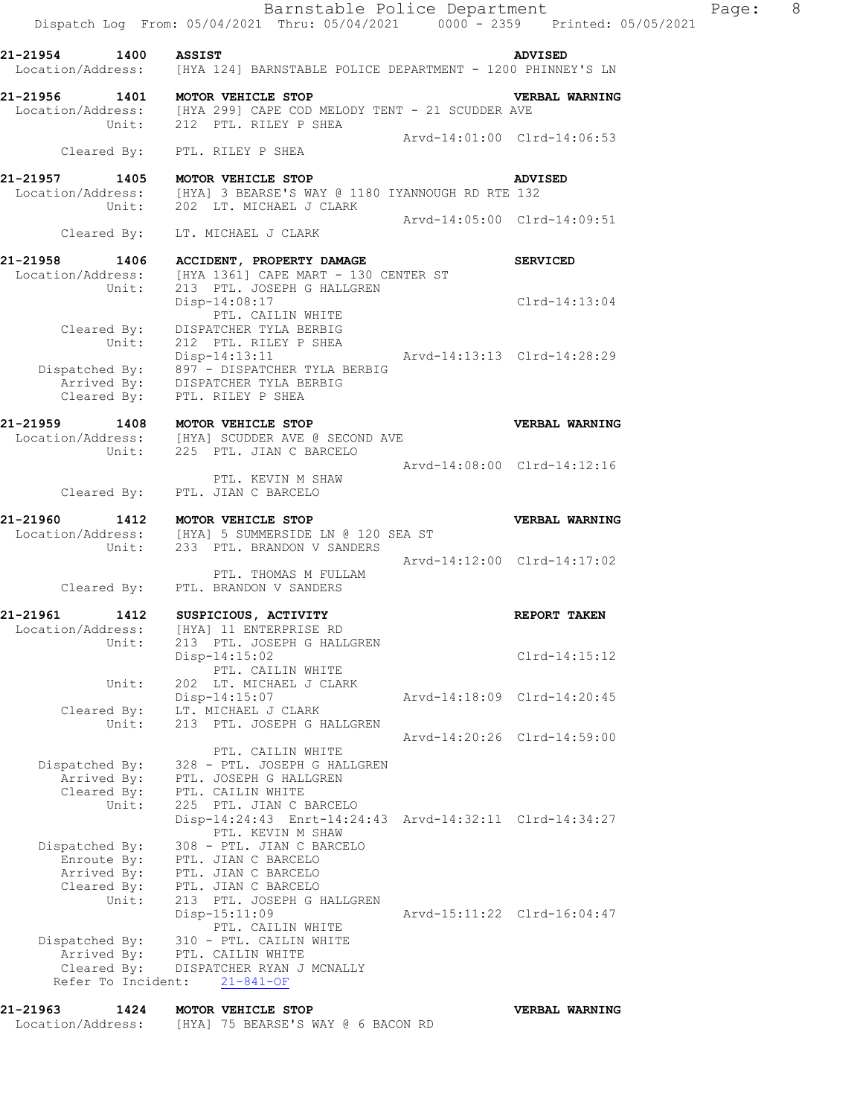**21-21957 1405 MOTOR VEHICLE STOP ADVISED**  Location/Address: [HYA] 3 BEARSE'S WAY @ 1180 IYANNOUGH RD RTE 132 Unit: 202 LT. MICHAEL J CLARK Arvd-14:05:00 Clrd-14:09:51 Cleared By: LT. MICHAEL J CLARK

**21-21958 1406 ACCIDENT, PROPERTY DAMAGE SERVICED**  Location/Address: [HYA 1361] CAPE MART - 130 CENTER ST Unit: 213 PTL. JOSEPH G HALLGREN Disp-14:08:17 Clrd-14:13:04 Disp-14:08:17<br>PTL. CAILIN WHITE Cleared By: DISPATCHER TYLA BERBIG Unit: 212 PTL. RILEY P SHEA Disp-14:13:11 Arvd-14:13:13 Clrd-14:28:29 Dispatched By: 897 - DISPATCHER TYLA BERBIG Arrived By: DISPATCHER TYLA BERBIG Cleared By: PTL. RILEY P SHEA

**21-21959 1408 MOTOR VEHICLE STOP VERBAL WARNING**  Location/Address: [HYA] SCUDDER AVE @ SECOND AVE Unit: 225 PTL. JIAN C BARCELO Arvd-14:08:00 Clrd-14:12:16 PTL. KEVIN M SHAW Cleared By: PTL. JIAN C BARCELO

**21-21960 1412 MOTOR VEHICLE STOP VERBAL WARNING**  Location/Address: [HYA] 5 SUMMERSIDE LN @ 120 SEA ST Unit: 233 PTL. BRANDON V SANDERS Arvd-14:12:00 Clrd-14:17:02 PTL. THOMAS M FULLAM

 Cleared By: PTL. BRANDON V SANDERS **21-21961 1412 SUSPICIOUS, ACTIVITY REPORT TAKEN**  Location/Address: [HYA] 11 ENTERPRISE RD Unit: 213 PTL. JOSEPH G HALLGREN Disp-14:15:02 Clrd-14:15:12 PTL. CAILIN WHITE Unit: 202 LT. MICHAEL J CLARK Disp-14:15:07 Arvd-14:18:09 Clrd-14:20:45 Cleared By: LT. MICHAEL J CLARK Unit: 213 PTL. JOSEPH G HALLGREN Arvd-14:20:26 Clrd-14:59:00 PTL. CAILIN WHITE Dispatched By: 328 - PTL. JOSEPH G HALLGREN .<br>Arrived By: PTL. JOSEPH G HALLGREN Cleared By: PTL. CAILIN WHITE Unit: 225 PTL. JIAN C BARCELO Disp-14:24:43 Enrt-14:24:43 Arvd-14:32:11 Clrd-14:34:27 PTL. KEVIN M SHAW

 Dispatched By: 308 - PTL. JIAN C BARCELO Enroute By: PTL. JIAN C BARCELO Arrived By: PTL. JIAN C BARCELO Cleared By: PTL. JIAN C BARCELO Unit: 213 PTL. JOSEPH G HALLGREN Disp-15:11:09 Arvd-15:11:22 Clrd-16:04:47 PTL. CAILIN WHITE Dispatched By: 310 - PTL. CAILIN WHITE .<br>Arrived By: PTL. CAILIN WHITE Cleared By: DISPATCHER RYAN J MCNALLY Refer To Incident: 21-841-OF

## **21-21963 1424 MOTOR VEHICLE STOP VERBAL WARNING**  Location/Address: [HYA] 75 BEARSE'S WAY @ 6 BACON RD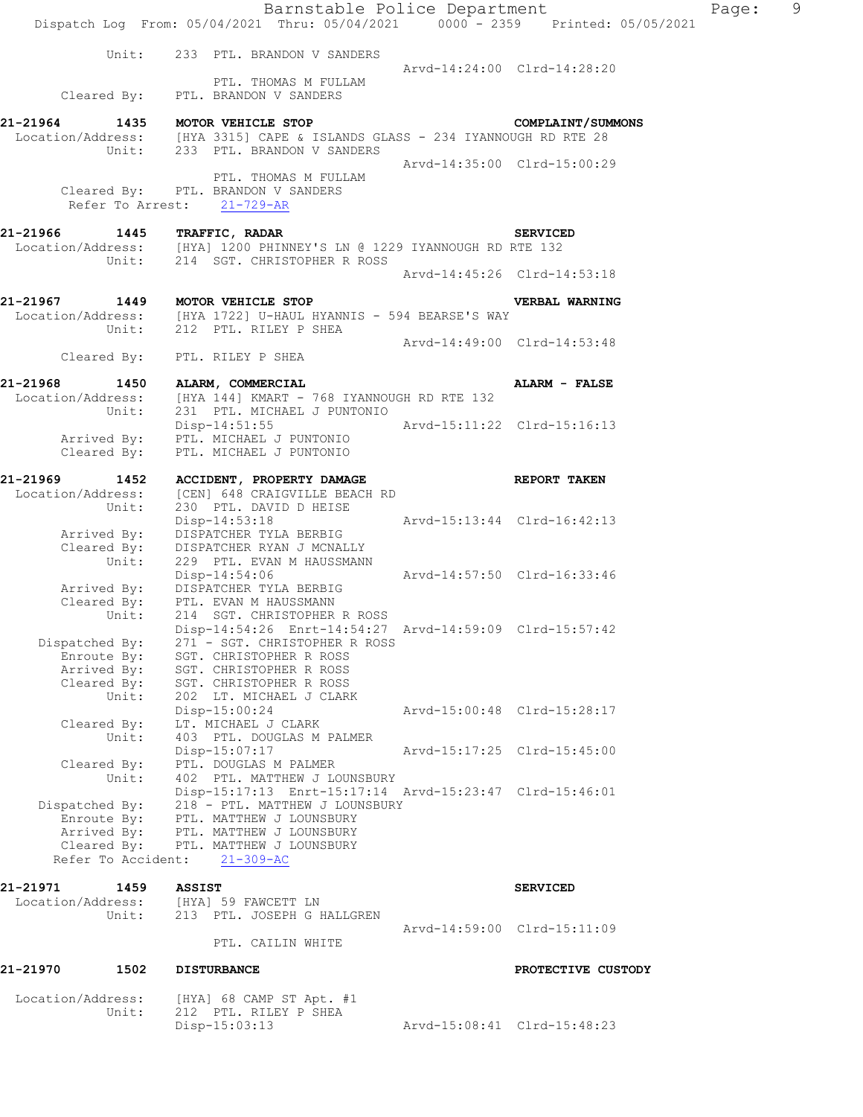|                                  | Barnstable Police Department<br>Dispatch Log From: 05/04/2021 Thru: 05/04/2021 0000 - 2359 Printed: 05/05/2021 |                             |                             | Page: | 9 |
|----------------------------------|----------------------------------------------------------------------------------------------------------------|-----------------------------|-----------------------------|-------|---|
|                                  |                                                                                                                |                             |                             |       |   |
|                                  | Unit: 233 PTL. BRANDON V SANDERS                                                                               | Arvd-14:24:00 Clrd-14:28:20 |                             |       |   |
|                                  | PTL. THOMAS M FULLAM<br>Cleared By: PTL. BRANDON V SANDERS                                                     |                             |                             |       |   |
| 21-21964 1435 MOTOR VEHICLE STOP |                                                                                                                |                             | <b>COMPLAINT/SUMMONS</b>    |       |   |
|                                  | Location/Address: [HYA 3315] CAPE & ISLANDS GLASS - 234 IYANNOUGH RD RTE 28                                    |                             |                             |       |   |
|                                  | Unit: 233 PTL. BRANDON V SANDERS                                                                               |                             | Arvd-14:35:00 Clrd-15:00:29 |       |   |
|                                  | PTL. THOMAS M FULLAM<br>Cleared By: PTL. BRANDON V SANDERS<br>Refer To Arrest: 21-729-AR                       |                             |                             |       |   |
| 21-21966 1445 TRAFFIC, RADAR     |                                                                                                                |                             | <b>SERVICED</b>             |       |   |
|                                  | Location/Address: [HYA] 1200 PHINNEY'S LN @ 1229 IYANNOUGH RD RTE 132                                          |                             |                             |       |   |
|                                  | Unit: 214 SGT. CHRISTOPHER R ROSS                                                                              |                             | Arvd-14:45:26 Clrd-14:53:18 |       |   |
|                                  |                                                                                                                |                             |                             |       |   |
|                                  | 21-21967 1449 MOTOR VEHICLE STOP                                                                               |                             | VERBAL WARNING              |       |   |
|                                  | Location/Address: [HYA 1722] U-HAUL HYANNIS - 594 BEARSE'S WAY                                                 |                             |                             |       |   |
|                                  | Unit: 212 PTL. RILEY P SHEA                                                                                    | Arvd-14:49:00 Clrd-14:53:48 |                             |       |   |
|                                  | Cleared By: PTL. RILEY P SHEA                                                                                  |                             |                             |       |   |
|                                  |                                                                                                                |                             |                             |       |   |
| 21-21968 1450 ALARM, COMMERCIAL  | Location/Address: [HYA 144] KMART - 768 IYANNOUGH RD RTE 132                                                   |                             | ALARM - FALSE               |       |   |
| Unit:                            | 231 PTL. MICHAEL J PUNTONIO                                                                                    |                             |                             |       |   |
|                                  | Disp-14:51:55                                                                                                  | Arvd-15:11:22 Clrd-15:16:13 |                             |       |   |
|                                  | Arrived By: PTL. MICHAEL J PUNTONIO                                                                            |                             |                             |       |   |
| Cleared By:                      | PTL. MICHAEL J PUNTONIO                                                                                        |                             |                             |       |   |
| 21-21969                         | 1452 ACCIDENT, PROPERTY DAMAGE                                                                                 |                             | <b>REPORT TAKEN</b>         |       |   |
|                                  | Location/Address: [CEN] 648 CRAIGVILLE BEACH RD                                                                |                             |                             |       |   |
| Unit:                            | 230 PTL. DAVID D HEISE                                                                                         |                             |                             |       |   |
|                                  | Disp-14:53:18 Arvd-15:13:44 Clrd-16:42:13<br>Arrived By: DISPATCHER TYLA BERBIG                                |                             |                             |       |   |
|                                  | Cleared By: DISPATCHER RYAN J MCNALLY<br>Unit: 229 PTL. EVAN M HAUSSMANN                                       |                             |                             |       |   |
|                                  | 229 PTL. EVAN M HAUSSMANN                                                                                      |                             |                             |       |   |
|                                  | Disp-14:54:06 Arvd-14:57:50 Clrd-16:33:46<br>Arrived By: DISPATCHER TYLA BERBIG                                |                             |                             |       |   |
|                                  | Cleared By: PTL. EVAN M HAUSSMANN                                                                              |                             |                             |       |   |
| Unit:                            | 214 SGT. CHRISTOPHER R ROSS                                                                                    |                             |                             |       |   |
| Dispatched By:                   | Disp-14:54:26 Enrt-14:54:27 Arvd-14:59:09 Clrd-15:57:42<br>271 - SGT. CHRISTOPHER R ROSS                       |                             |                             |       |   |
| Enroute By:                      | SGT. CHRISTOPHER R ROSS                                                                                        |                             |                             |       |   |
| Arrived By:                      | SGT. CHRISTOPHER R ROSS                                                                                        |                             |                             |       |   |
| Cleared By:<br>Unit:             | SGT. CHRISTOPHER R ROSS                                                                                        |                             |                             |       |   |
|                                  | 202 LT. MICHAEL J CLARK<br>Disp-15:00:24                                                                       |                             | Arvd-15:00:48 Clrd-15:28:17 |       |   |
| Cleared By:                      | LT. MICHAEL J CLARK                                                                                            |                             |                             |       |   |
| Unit:                            | 403 PTL. DOUGLAS M PALMER                                                                                      |                             |                             |       |   |
| Cleared By:                      | Disp-15:07:17<br>PTL. DOUGLAS M PALMER                                                                         |                             | Arvd-15:17:25 Clrd-15:45:00 |       |   |
| Unit:                            | 402 PTL. MATTHEW J LOUNSBURY                                                                                   |                             |                             |       |   |
|                                  | Disp-15:17:13 Enrt-15:17:14 Arvd-15:23:47 Clrd-15:46:01                                                        |                             |                             |       |   |
|                                  | Dispatched By: 218 - PTL. MATTHEW J LOUNSBURY                                                                  |                             |                             |       |   |
|                                  | Enroute By: PTL. MATTHEW J LOUNSBURY<br>Arrived By: PTL. MATTHEW J LOUNSBURY                                   |                             |                             |       |   |
|                                  | Cleared By: PTL. MATTHEW J LOUNSBURY                                                                           |                             |                             |       |   |
|                                  | Refer To Accident: 21-309-AC                                                                                   |                             |                             |       |   |
| 21-21971<br>1459                 | <b>ASSIST</b>                                                                                                  |                             | <b>SERVICED</b>             |       |   |
|                                  | Location/Address: [HYA] 59 FAWCETT LN                                                                          |                             |                             |       |   |
| Unit:                            | 213 PTL. JOSEPH G HALLGREN                                                                                     |                             |                             |       |   |
|                                  | PTL. CAILIN WHITE                                                                                              |                             | Arvd-14:59:00 Clrd-15:11:09 |       |   |
|                                  |                                                                                                                |                             |                             |       |   |
| 21-21970<br>1502                 | <b>DISTURBANCE</b>                                                                                             |                             | PROTECTIVE CUSTODY          |       |   |
| Location/Address:                | [HYA] 68 CAMP ST Apt. #1                                                                                       |                             |                             |       |   |
|                                  | Unit: 212 PTL, RILEY P SHEA                                                                                    |                             |                             |       |   |

Disp-15:03:13 Arvd-15:08:41 Clrd-15:48:23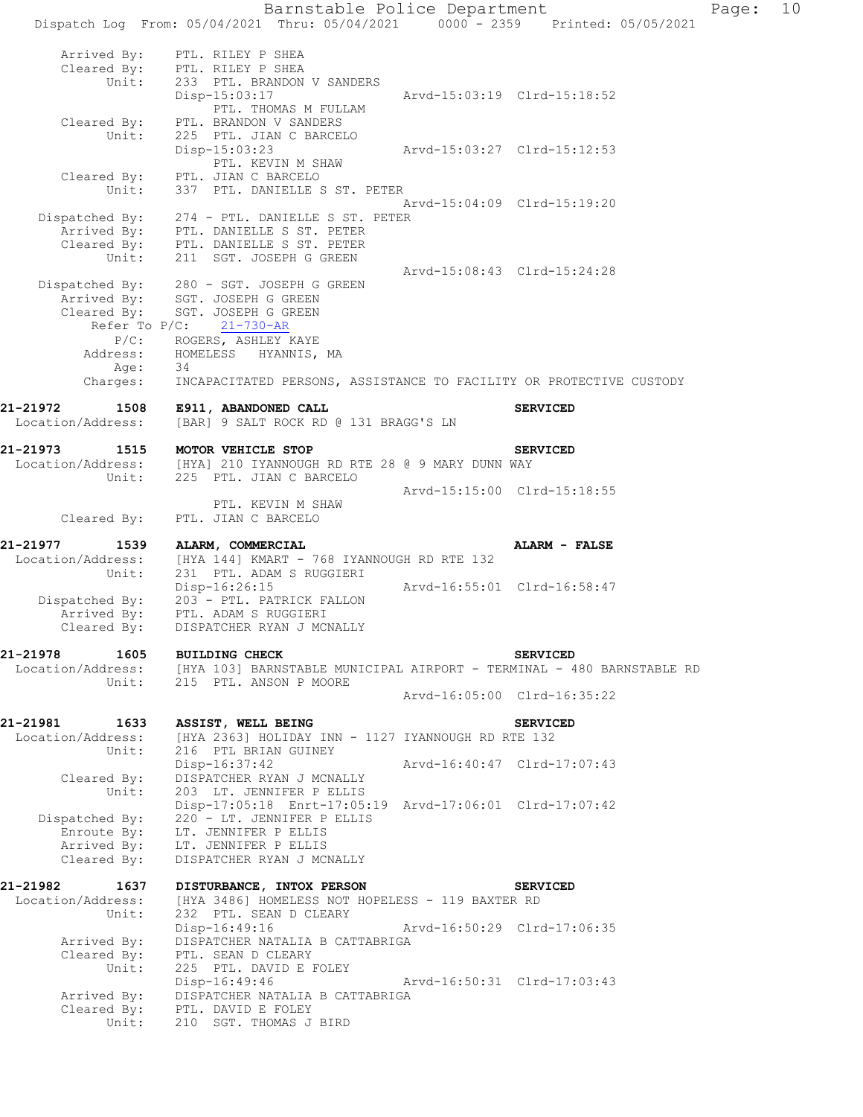Barnstable Police Department Page: 10 Dispatch Log From: 05/04/2021 Thru: 05/04/2021 0000 - 2359 Printed: 05/05/2021 Arrived By: PTL. RILEY P SHEA Cleared By: PTL. RILEY P SHEA Unit: 233 PTL. BRANDON V SANDERS Disp-15:03:17 Arvd-15:03:19 Clrd-15:18:52 PTL. THOMAS M FULLAM Cleared By: PTL. BRANDON V SANDERS Unit: 225 PTL. JIAN C BARCELO Disp-15:03:23 Arvd-15:03:27 Clrd-15:12:53 PTL. KEVIN M SHAW Cleared By: PTL. JIAN C BARCELO Unit: 337 PTL. DANIELLE S ST. PETER Arvd-15:04:09 Clrd-15:19:20 Dispatched By: 274 - PTL. DANIELLE S ST. PETER .<br>Arrived By: PTL. DANIELLE S ST. PETER Cleared By: PTL. DANIELLE S ST. PETER Unit: 211 SGT. JOSEPH G GREEN Arvd-15:08:43 Clrd-15:24:28 Dispatched By: 280 - SGT. JOSEPH G GREEN .<br>Arrived By: SGT. JOSEPH G GREEN Cleared By: SGT. JOSEPH G GREEN Refer To P/C: 21-730-AR P/C: ROGERS, ASHLEY KAYE Address: HOMELESS HYANNIS, MA Age: 34 Charges: INCAPACITATED PERSONS, ASSISTANCE TO FACILITY OR PROTECTIVE CUSTODY **21-21972 1508 E911, ABANDONED CALL SERVICED**  Location/Address: [BAR] 9 SALT ROCK RD @ 131 BRAGG'S LN **21-21973 1515 MOTOR VEHICLE STOP SERVICED**  Location/Address: [HYA] 210 IYANNOUGH RD RTE 28 @ 9 MARY DUNN WAY Unit: 225 PTL. JIAN C BARCELO Arvd-15:15:00 Clrd-15:18:55 PTL. KEVIN M SHAW Cleared By: PTL. JIAN C BARCELO **21-21977 1539 ALARM, COMMERCIAL ALARM - FALSE**  Location/Address: [HYA 144] KMART - 768 IYANNOUGH RD RTE 132 Unit: 231 PTL. ADAM S RUGGIERI Unit: 231 PTL. ADAM S RUGGIERI<br>Disp-16:26:15 <br>Disp-16:26:15 Arvd-16:55:01 Clrd-16:58:47 Dispatched By: 203 - PTL. PATRICK FALLON .<br>Arrived By: PTL. ADAM S RUGGIERI Cleared By: DISPATCHER RYAN J MCNALLY **21-21978 1605 BUILDING CHECK SERVICED**  Location/Address: [HYA 103] BARNSTABLE MUNICIPAL AIRPORT - TERMINAL - 480 BARNSTABLE RD Unit: 215 PTL. ANSON P MOORE Arvd-16:05:00 Clrd-16:35:22 **21-21981 1633 ASSIST, WELL BEING SERVICED**  Location/Address: [HYA 2363] HOLIDAY INN - 1127 IYANNOUGH RD RTE 132 Unit: 216 PTL BRIAN GUINEY Disp-16:37:42 Arvd-16:40:47 Clrd-17:07:43 Cleared By: DISPATCHER RYAN J MCNALLY Unit: 203 LT. JENNIFER P ELLIS Disp-17:05:18 Enrt-17:05:19 Arvd-17:06:01 Clrd-17:07:42 Dispatched By: 220 - LT. JENNIFER P ELLIS .<br>Enroute By: LT. JENNIFER P ELLIS Arrived By: LT. JENNIFER P ELLIS Cleared By: DISPATCHER RYAN J MCNALLY **21-21982 1637 DISTURBANCE, INTOX PERSON SERVICED**  Location/Address: [HYA 3486] HOMELESS NOT HOPELESS - 119 BAXTER RD Unit: 232 PTL. SEAN D CLEARY Disp-16:49:16 Arvd-16:50:29 Clrd-17:06:35 Disp-16:49:16 Arrived By: DISPATCHER NATALIA B CATTABRIGA Cleared By: PTL. SEAN D CLEARY Unit: 225 PTL. DAVID E FOLEY Disp-16:49:46 Arvd-16:50:31 Clrd-17:03:43 Arrived By: DISPATCHER NATALIA B CATTABRIGA Cleared  $\overline{\text{By}}$ : PTL. DAVID E FOLEY Unit: 210 SGT. THOMAS J BIRD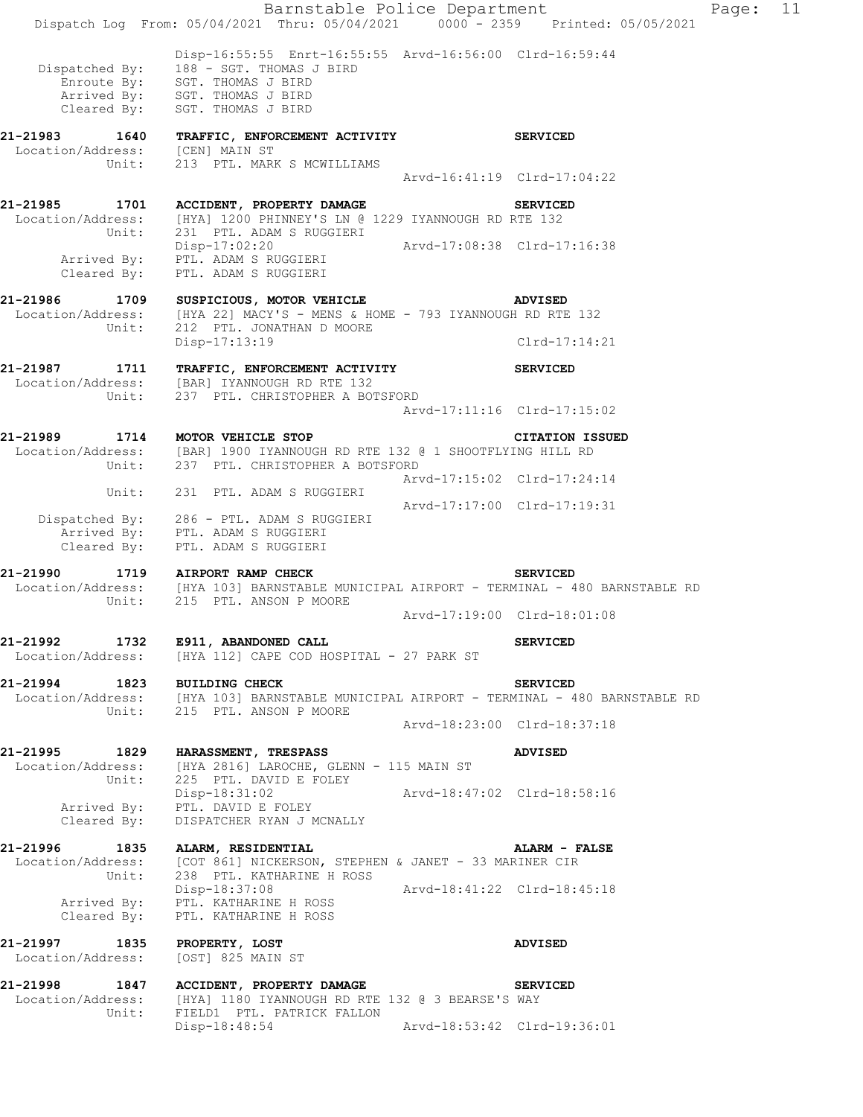Barnstable Police Department Fage: 11 Dispatch Log From: 05/04/2021 Thru: 05/04/2021 0000 - 2359 Printed: 05/05/2021 Disp-16:55:55 Enrt-16:55:55 Arvd-16:56:00 Clrd-16:59:44 Dispatched By: 188 - SGT. THOMAS J BIRD .<br>Enroute By: SGT. THOMAS J BIRD Arrived By: SGT. THOMAS J BIRD Cleared  $\overline{\text{{\tt B}}^{\mathsf v}}$ : SGT. THOMAS J BIRD **21-21983 1640 TRAFFIC, ENFORCEMENT ACTIVITY SERVICED**  Location/Address: [CEN] MAIN ST Unit: 213 PTL. MARK S MCWILLIAMS 213 PTL. MARK S MCWILLIAMS<br>Arvd-16:41:19 Clrd-17:04:22 **21-21985 1701 ACCIDENT, PROPERTY DAMAGE SERVICED**  Location/Address: [HYA] 1200 PHINNEY'S LN @ 1229 IYANNOUGH RD RTE 132 Unit: 231 PTL. ADAM S RUGGIERI Disp-17:02:20 Arvd-17:08:38 Clrd-17:16:38 Arrived By: PTL. ADAM S RUGGIERI Cleared By: PTL. ADAM S RUGGIERI **21-21986 1709 SUSPICIOUS, MOTOR VEHICLE ADVISED**  Location/Address: [HYA 22] MACY'S - MENS & HOME - 793 IYANNOUGH RD RTE 132 Unit: 212 PTL. JONATHAN D MOORE Disp-17:13:19 Clrd-17:14:21 **21-21987 1711 TRAFFIC, ENFORCEMENT ACTIVITY SERVICED**  Location/Address: [BAR] IYANNOUGH RD RTE 132 Unit: 237 PTL. CHRISTOPHER A BOTSFORD Arvd-17:11:16 Clrd-17:15:02 **21-21989 1714 MOTOR VEHICLE STOP CITATION ISSUED**  Location/Address: [BAR] 1900 IYANNOUGH RD RTE 132 @ 1 SHOOTFLYING HILL RD Unit: 237 PTL. CHRISTOPHER A BOTSFORD Arvd-17:15:02 Clrd-17:24:14 Unit: 231 PTL. ADAM S RUGGIERI Arvd-17:17:00 Clrd-17:19:31 Dispatched By: 286 - PTL. ADAM S RUGGIERI .<br>Arrived By: PTL. ADAM S RUGGIERI Cleared By: PTL. ADAM S RUGGIERI **21-21990 1719 AIRPORT RAMP CHECK SERVICED**  Location/Address: [HYA 103] BARNSTABLE MUNICIPAL AIRPORT - TERMINAL - 480 BARNSTABLE RD Unit: 215 PTL. ANSON P MOORE Arvd-17:19:00 Clrd-18:01:08 **21-21992 1732 E911, ABANDONED CALL SERVICED**  Location/Address: [HYA 112] CAPE COD HOSPITAL - 27 PARK ST **21-21994 1823 BUILDING CHECK SERVICED**  Location/Address: [HYA 103] BARNSTABLE MUNICIPAL AIRPORT - TERMINAL - 480 BARNSTABLE RD Unit: 215 PTL. ANSON P MOORE Arvd-18:23:00 Clrd-18:37:18 **21-21995 1829 HARASSMENT, TRESPASS ADVISED**  Location/Address: [HYA 2816] LAROCHE, GLENN - 115 MAIN ST Unit: 225 PTL. DAVID E FOLEY Disp-18:31:02 Arvd-18:47:02 Clrd-18:58:16 Disp-18:31:02<br>Arrived By: PTL. DAVID E FOLEY Cleared By: DISPATCHER RYAN J MCNALLY **21-21996 1835 ALARM, RESIDENTIAL ALARM - FALSE**  Location/Address: [COT 861] NICKERSON, STEPHEN & JANET - 33 MARINER CIR Unit: 238 PTL. KATHARINE H ROSS Disp-18:37:08 Arvd-18:41:22 Clrd-18:45:18 Disp-18:37:08<br>Arrived By: PTL. KATHARINE H ROSS Cleared By: PTL. KATHARINE H ROSS **21-21997 1835 PROPERTY, LOST ADVISED**  Location/Address: [OST] 825 MAIN ST **21-21998 1847 ACCIDENT, PROPERTY DAMAGE SERVICED**  Location/Address: [HYA] 1180 IYANNOUGH RD RTE 132 @ 3 BEARSE'S WAY Unit: FIELD1 PTL. PATRICK FALLON Unit: FIELD1 PTL. PATRICK FALLON<br>Disp-18:48:54 Arvd-18:53:42 Clrd-19:36:01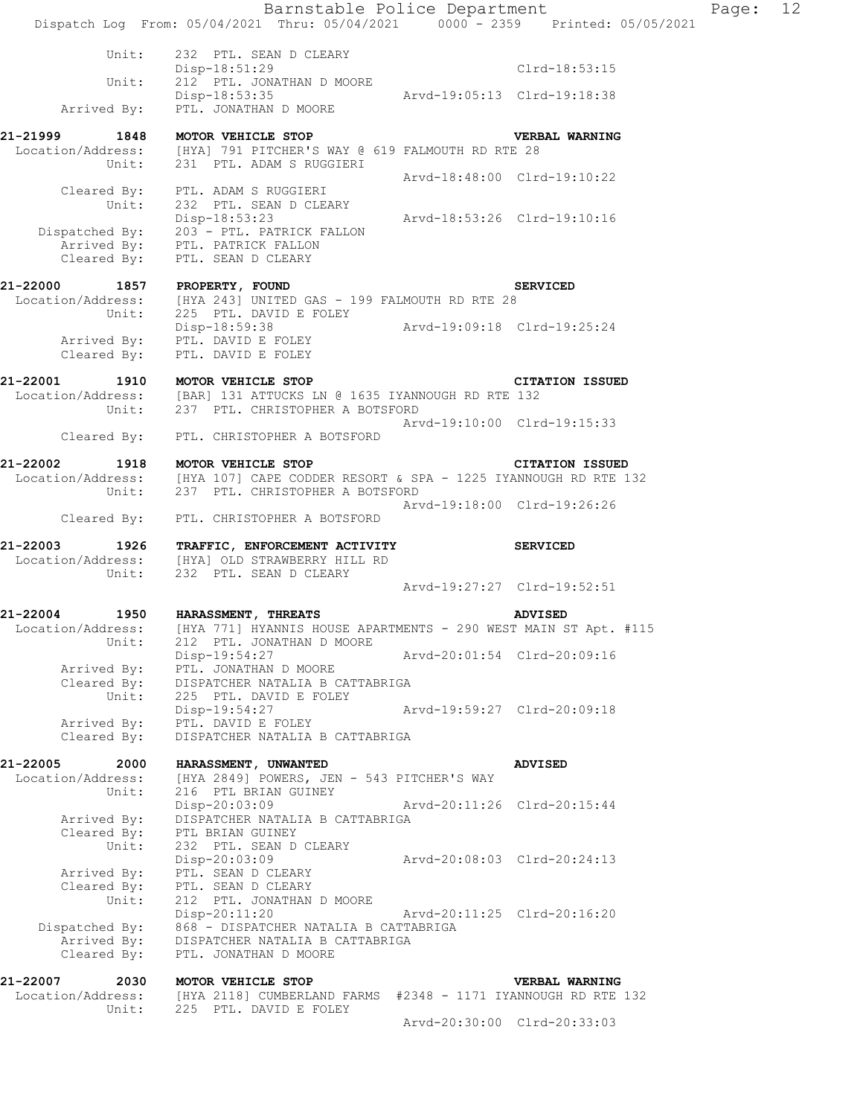|                                              | Barnstable Police Department<br>Dispatch Log From: 05/04/2021 Thru: 05/04/2021 0000 - 2359 Printed: 05/05/2021                                      |                             |                             | Page: | 12 |
|----------------------------------------------|-----------------------------------------------------------------------------------------------------------------------------------------------------|-----------------------------|-----------------------------|-------|----|
|                                              |                                                                                                                                                     |                             |                             |       |    |
| Unit:<br>Unit:                               | 232 PTL. SEAN D CLEARY<br>Disp-18:51:29<br>212 PTL. JONATHAN D MOORE                                                                                |                             | Clrd-18:53:15               |       |    |
| Arrived By:                                  | Disp-18:53:35<br>PTL. JONATHAN D MOORE                                                                                                              | Arvd-19:05:13 Clrd-19:18:38 |                             |       |    |
|                                              |                                                                                                                                                     |                             |                             |       |    |
|                                              | 21-21999 1848 MOTOR VEHICLE STOP<br>Location/Address: [HYA] 791 PITCHER'S WAY @ 619 FALMOUTH RD RTE 28<br>Unit: 231 PTL. ADAM S RUGGIERI            |                             | <b>VERBAL WARNING</b>       |       |    |
|                                              | Cleared By: PTL. ADAM S RUGGIERI<br>Unit: 232 PTL. SEAN D CLEARY                                                                                    | Arvd-18:48:00 Clrd-19:10:22 |                             |       |    |
|                                              | Disp-18:53:23 Arvd-18:53:26 Clrd-19:10:16<br>Dispatched By: 203 - PTL. PATRICK FALLON<br>Arrived By: PTL. PATRICK FALLON                            |                             |                             |       |    |
|                                              | Cleared By: PTL. SEAN D CLEARY                                                                                                                      |                             |                             |       |    |
|                                              | SI<br>21-22000 1857 PROPERTY, FOUND SI<br>Location/Address: [HYA 243] UNITED GAS - 199 FALMOUTH RD RTE 28                                           |                             | <b>SERVICED</b>             |       |    |
|                                              | Unit: 225 PTL. DAVID E FOLEY                                                                                                                        | Arvd-19:09:18 Clrd-19:25:24 |                             |       |    |
| Cleared By:                                  | Disp-18:59:38<br>Arrived By: PTL. DAVID E FOLEY<br>PTL. DAVID E FOLEY                                                                               |                             |                             |       |    |
| 21-22001                                     | 1910 MOTOR VEHICLE STOP<br>Location/Address: [BAR] 131 ATTUCKS LN @ 1635 IYANNOUGH RD RTE 132<br>Unit: 237 PTL. CHRISTOPHER A BOTSFORD              |                             | <b>CITATION ISSUED</b>      |       |    |
|                                              | Cleared By: PTL. CHRISTOPHER A BOTSFORD                                                                                                             | Arvd-19:10:00 Clrd-19:15:33 |                             |       |    |
| 21-22002                                     |                                                                                                                                                     |                             | <b>CITATION ISSUED</b>      |       |    |
|                                              | 1918 MOTOR VEHICLE STOP<br>Location/Address: [HYA 107] CAPE CODDER RESORT & SPA - 1225 IYANNOUGH RD RTE 132                                         |                             |                             |       |    |
|                                              | Unit: 237 PTL. CHRISTOPHER A BOTSFORD                                                                                                               | Arvd-19:18:00 Clrd-19:26:26 |                             |       |    |
|                                              | Cleared By: PTL. CHRISTOPHER A BOTSFORD                                                                                                             |                             |                             |       |    |
|                                              | 21-22003 1926 TRAFFIC, ENFORCEMENT ACTIVITY SERVICED<br>Location/Address: [HYA] OLD STRAWBERRY HILL RD                                              |                             |                             |       |    |
| Unit:                                        | 232 PTL. SEAN D CLEARY                                                                                                                              |                             | Arvd-19:27:27 Clrd-19:52:51 |       |    |
|                                              |                                                                                                                                                     |                             |                             |       |    |
| Unit:                                        | 21-22004 1950 HARASSMENT, THREATS<br>Location/Address: [HYA 771] HYANNIS HOUSE APARTMENTS - 290 WEST MAIN ST Apt. #115<br>212 PTL. JONATHAN D MOORE |                             | <b>ADVISED</b>              |       |    |
| Arrived By:<br>Cleared By:                   | Disp-19:54:27<br>PTL. JONATHAN D MOORE<br>DISPATCHER NATALIA B CATTABRIGA                                                                           | Arvd-20:01:54 Clrd-20:09:16 |                             |       |    |
| Unit:<br>Arrived By:                         | 225 PTL. DAVID E FOLEY<br>Disp-19:54:27<br>PTL. DAVID E FOLEY                                                                                       |                             | Arvd-19:59:27 Clrd-20:09:18 |       |    |
| Cleared By:                                  | DISPATCHER NATALIA B CATTABRIGA                                                                                                                     |                             |                             |       |    |
| 21-22005<br>2000                             | HARASSMENT, UNWANTED                                                                                                                                |                             | <b>ADVISED</b>              |       |    |
| Location/Address:<br>Unit:                   | [HYA 2849] POWERS, JEN - 543 PITCHER'S WAY<br>216 PTL BRIAN GUINEY                                                                                  |                             |                             |       |    |
| Arrived By:                                  | Disp-20:03:09<br>DISPATCHER NATALIA B CATTABRIGA                                                                                                    | Arvd-20:11:26 Clrd-20:15:44 |                             |       |    |
| Cleared By:<br>Unit:                         | PTL BRIAN GUINEY<br>232 PTL. SEAN D CLEARY                                                                                                          |                             |                             |       |    |
| Arrived By:<br>Cleared By:                   | Disp-20:03:09<br>PTL. SEAN D CLEARY<br>PTL. SEAN D CLEARY                                                                                           | Arvd-20:08:03 Clrd-20:24:13 |                             |       |    |
| Unit:                                        | 212 PTL. JONATHAN D MOORE<br>Disp-20:11:20                                                                                                          | Arvd-20:11:25 Clrd-20:16:20 |                             |       |    |
| Dispatched By:<br>Arrived By:<br>Cleared By: | 868 - DISPATCHER NATALIA B CATTABRIGA<br>DISPATCHER NATALIA B CATTABRIGA<br>PTL. JONATHAN D MOORE                                                   |                             |                             |       |    |
| 21-22007<br>2030<br>Location/Address:        | MOTOR VEHICLE STOP<br>[HYA 2118] CUMBERLAND FARMS #2348 - 1171 IYANNOUGH RD RTE 132                                                                 |                             | VERBAL WARNING              |       |    |
| Unit:                                        | 225 PTL. DAVID E FOLEY                                                                                                                              | Arvd-20:30:00 Clrd-20:33:03 |                             |       |    |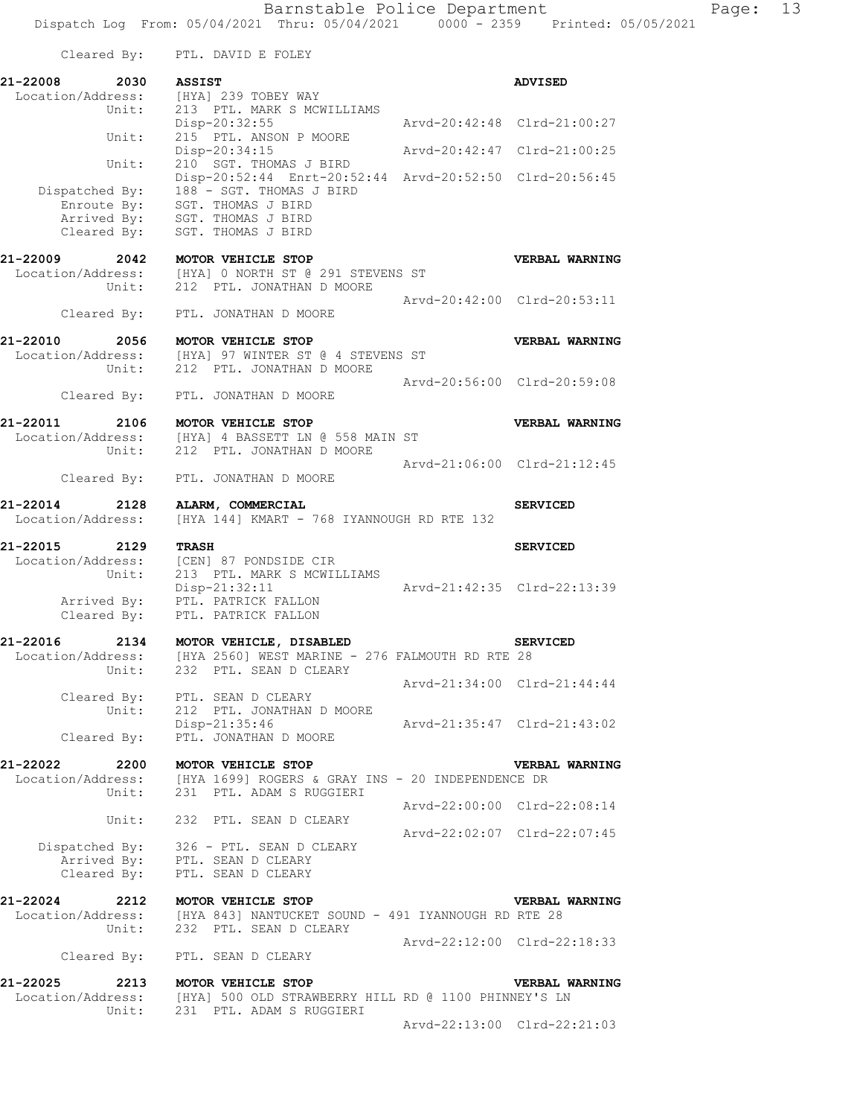Cleared By: PTL. DAVID E FOLEY **21-22008 2030 ASSIST ADVISED**  Location/Address: [HYA] 239 TOBEY WAY Unit: 213 PTL. MARK S MCWILLIAMS Disp-20:32:55 Arvd-20:42:48 Clrd-21:00:27 Unit: 215 PTL. ANSON P MOORE Disp-20:34:15 Arvd-20:42:47 Clrd-21:00:25 Unit: 210 SGT. THOMAS J BIRD Disp-20:52:44 Enrt-20:52:44 Arvd-20:52:50 Clrd-20:56:45 Disp-20:52:44 Enrt-20:52<br>Dispatched By: 188 - SGT. THOMAS J BIRD .<br>Enroute By: SGT. THOMAS J BIRD Arrived By: SGT. THOMAS J BIRD Cleared By: SGT. THOMAS J BIRD **21-22009 2042 MOTOR VEHICLE STOP VERBAL WARNING**  Location/Address: [HYA] 0 NORTH ST @ 291 STEVENS ST Unit: 212 PTL. JONATHAN D MOORE Arvd-20:42:00 Clrd-20:53:11 Cleared By: PTL. JONATHAN D MOORE **21-22010 2056 MOTOR VEHICLE STOP VERBAL WARNING**  Location/Address: [HYA] 97 WINTER ST @ 4 STEVENS ST Unit: 212 PTL. JONATHAN D MOORE Arvd-20:56:00 Clrd-20:59:08 Cleared By: PTL. JONATHAN D MOORE **21-22011 2106 MOTOR VEHICLE STOP VERBAL WARNING**  Location/Address: [HYA] 4 BASSETT LN @ 558 MAIN ST Unit: 212 PTL. JONATHAN D MOORE Arvd-21:06:00 Clrd-21:12:45 Cleared By: PTL. JONATHAN D MOORE **21-22014 2128 ALARM, COMMERCIAL SERVICED**<br>Location/Address: [HYA 144] KMART - 768 IYANNOUGH RD RTE 132 [HYA 144] KMART - 768 IYANNOUGH RD RTE 132 **21-22015 2129 TRASH SERVICED**  Location/Address: [CEN] 87 PONDSIDE CIR Unit: 213 PTL. MARK S MCWILLIAMS Arvd-21:42:35 Clrd-22:13:39 Arrived By: PTL. PATRICK FALLON Cleared By: PTL. PATRICK FALLON **21-22016 2134 MOTOR VEHICLE, DISABLED SERVICED**  Location/Address: [HYA 2560] WEST MARINE - 276 FALMOUTH RD RTE 28 Unit: 232 PTL. SEAN D CLEARY Arvd-21:34:00 Clrd-21:44:44 Cleared By: PTL. SEAN D CLEARY Unit: 212 PTL. JONATHAN D MOORE Disp-21:35:46 Arvd-21:35:47 Clrd-21:43:02 Cleared By: PTL. JONATHAN D MOORE **21-22022 2200 MOTOR VEHICLE STOP VERBAL WARNING**  Location/Address: [HYA 1699] ROGERS & GRAY INS - 20 INDEPENDENCE DR Unit: 231 PTL. ADAM S RUGGIERI Arvd-22:00:00 Clrd-22:08:14 Unit: 232 PTL. SEAN D CLEARY Arvd-22:02:07 Clrd-22:07:45 Dispatched By: 326 - PTL. SEAN D CLEARY .<br>Arrived By: PTL. SEAN D CLEARY Cleared By: PTL. SEAN D CLEARY **21-22024 2212 MOTOR VEHICLE STOP VERBAL WARNING**  Location/Address: [HYA 843] NANTUCKET SOUND - 491 IYANNOUGH RD RTE 28 Unit: 232 PTL. SEAN D CLEARY Arvd-22:12:00 Clrd-22:18:33 Cleared By: PTL. SEAN D CLEARY **21-22025 2213 MOTOR VEHICLE STOP VERBAL WARNING**  Location/Address: [HYA] 500 OLD STRAWBERRY HILL RD @ 1100 PHINNEY'S LN Unit: 231 PTL. ADAM S RUGGIERI

Arvd-22:13:00 Clrd-22:21:03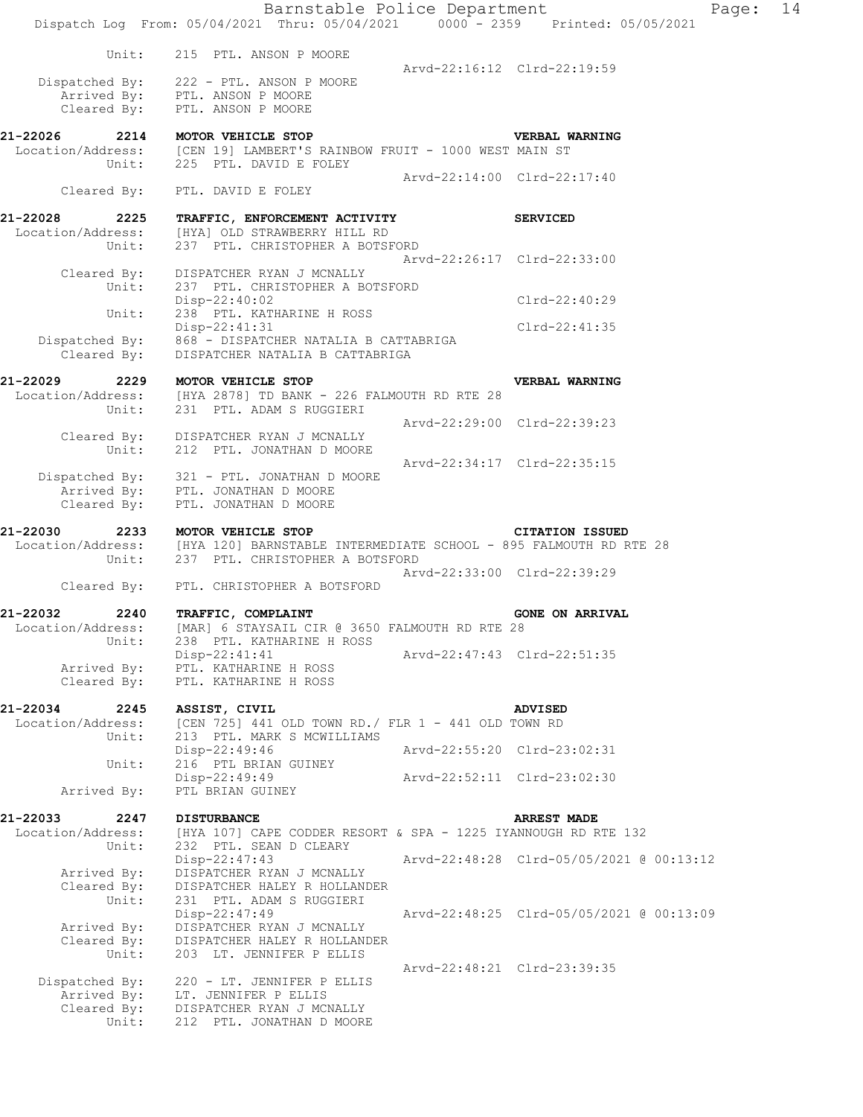|                                       | Barnstable Police Department<br>Dispatch Log From: 05/04/2021 Thru: 05/04/2021   0000 - 2359   Printed: 05/05/2021           |                             |                                          | Page: | 14 |
|---------------------------------------|------------------------------------------------------------------------------------------------------------------------------|-----------------------------|------------------------------------------|-------|----|
|                                       |                                                                                                                              |                             |                                          |       |    |
|                                       | Unit: 215 PTL. ANSON P MOORE                                                                                                 |                             | Arvd-22:16:12 Clrd-22:19:59              |       |    |
|                                       | Dispatched By: 222 - PTL. ANSON P MOORE<br>Arrived By: PTL. ANSON P MOORE                                                    |                             |                                          |       |    |
|                                       |                                                                                                                              |                             |                                          |       |    |
|                                       | Cleared By: PTL. ANSON P MOORE                                                                                               |                             |                                          |       |    |
| 21-22026                              | 2214 MOTOR VEHICLE STOP                                                                                                      |                             | VERBAL WARNING                           |       |    |
|                                       | Location/Address: [CEN 19] LAMBERT'S RAINBOW FRUIT - 1000 WEST MAIN ST<br>Unit: 225 PTL. DAVID E FOLEY                       |                             |                                          |       |    |
|                                       |                                                                                                                              |                             | Arvd-22:14:00 Clrd-22:17:40              |       |    |
|                                       | Cleared By: PTL. DAVID E FOLEY                                                                                               |                             |                                          |       |    |
| 21-22028                              | 2225 TRAFFIC, ENFORCEMENT ACTIVITY                                                                                           |                             | <b>SERVICED</b>                          |       |    |
|                                       | Location/Address: [HYA] OLD STRAWBERRY HILL RD                                                                               |                             |                                          |       |    |
| Unit:                                 | 237 PTL. CHRISTOPHER A BOTSFORD                                                                                              |                             | Arvd-22:26:17 Clrd-22:33:00              |       |    |
|                                       | Cleared By: DISPATCHER RYAN J MCNALLY                                                                                        |                             |                                          |       |    |
| Unit:                                 | 237 PTL. CHRISTOPHER A BOTSFORD                                                                                              |                             |                                          |       |    |
|                                       | Disp-22:40:02                                                                                                                |                             | Clrd-22:40:29                            |       |    |
| Unit:                                 | 238 PTL. KATHARINE H ROSS<br>Disp-22:41:31                                                                                   |                             | Clrd-22:41:35                            |       |    |
|                                       | Dispatched By: 868 - DISPATCHER NATALIA B CATTABRIGA                                                                         |                             |                                          |       |    |
| Cleared By:                           | DISPATCHER NATALIA B CATTABRIGA                                                                                              |                             |                                          |       |    |
| 21-22029                              | 2229 MOTOR VEHICLE STOP                                                                                                      |                             | VERBAL WARNING                           |       |    |
|                                       | Location/Address: [HYA 2878] TD BANK - 226 FALMOUTH RD RTE 28                                                                |                             |                                          |       |    |
| Unit:                                 | 231 PTL. ADAM S RUGGIERI                                                                                                     |                             |                                          |       |    |
|                                       |                                                                                                                              |                             | Arvd-22:29:00 Clrd-22:39:23              |       |    |
|                                       | Cleared By: DISPATCHER RYAN J MCNALLY<br>Unit: 212 PTL. JONATHAN D MOORE                                                     |                             |                                          |       |    |
|                                       |                                                                                                                              |                             | Arvd-22:34:17 Clrd-22:35:15              |       |    |
|                                       | Dispatched By: 321 - PTL. JONATHAN D MOORE<br>Arrived By: PTL. JONATHAN D MOORE                                              |                             |                                          |       |    |
| Cleared By:                           | PTL. JONATHAN D MOORE                                                                                                        |                             |                                          |       |    |
|                                       |                                                                                                                              |                             |                                          |       |    |
| 21-22030                              | 2233 MOTOR VEHICLE STOP                                                                                                      |                             | <b>CITATION ISSUED</b>                   |       |    |
|                                       | Location/Address: [HYA 120] BARNSTABLE INTERMEDIATE SCHOOL - 895 FALMOUTH RD RTE 28<br>Unit: 237 PTL. CHRISTOPHER A BOTSFORD |                             |                                          |       |    |
|                                       |                                                                                                                              |                             | Arvd-22:33:00 Clrd-22:39:29              |       |    |
|                                       | Cleared By: PTL. CHRISTOPHER A BOTSFORD                                                                                      |                             |                                          |       |    |
| 21-22032<br>2240                      | TRAFFIC, COMPLAINT                                                                                                           |                             | <b>GONE ON ARRIVAL</b>                   |       |    |
|                                       | Location/Address: [MAR] 6 STAYSAIL CIR @ 3650 FALMOUTH RD RTE 28                                                             |                             |                                          |       |    |
| Unit:                                 | 238 PTL. KATHARINE H ROSS                                                                                                    |                             |                                          |       |    |
|                                       | $Disp-22:41:41$<br>Arrived By: PTL. KATHARINE H ROSS                                                                         | Arvd-22:47:43 Clrd-22:51:35 |                                          |       |    |
| Cleared By:                           | PTL. KATHARINE H ROSS                                                                                                        |                             |                                          |       |    |
|                                       |                                                                                                                              |                             |                                          |       |    |
| 21-22034<br>2245<br>Location/Address: | ASSIST, CIVIL<br>[CEN 725] 441 OLD TOWN RD./ FLR 1 - 441 OLD TOWN RD                                                         |                             | <b>ADVISED</b>                           |       |    |
| Unit:                                 | 213 PTL. MARK S MCWILLIAMS                                                                                                   |                             |                                          |       |    |
| Unit:                                 | Disp-22:49:46<br>216 PTL BRIAN GUINEY                                                                                        |                             | Arvd-22:55:20 Clrd-23:02:31              |       |    |
|                                       | $Disp-22:49:49$                                                                                                              |                             | Arvd-22:52:11 Clrd-23:02:30              |       |    |
| Arrived By:                           | PTL BRIAN GUINEY                                                                                                             |                             |                                          |       |    |
|                                       |                                                                                                                              |                             |                                          |       |    |
| 21-22033<br>2247<br>Location/Address: | <b>DISTURBANCE</b><br>[HYA 107] CAPE CODDER RESORT & SPA - 1225 IYANNOUGH RD RTE 132                                         |                             | <b>ARREST MADE</b>                       |       |    |
| Unit:                                 | 232 PTL. SEAN D CLEARY                                                                                                       |                             |                                          |       |    |
|                                       | $Disp-22:47:43$                                                                                                              |                             |                                          |       |    |
| Arrived By:<br>Cleared By:            | DISPATCHER RYAN J MCNALLY<br>DISPATCHER HALEY R HOLLANDER                                                                    |                             |                                          |       |    |
| Unit:                                 | 231 PTL. ADAM S RUGGIERI                                                                                                     |                             |                                          |       |    |
|                                       | Disp-22:47:49                                                                                                                |                             | Arvd-22:48:25 Clrd-05/05/2021 @ 00:13:09 |       |    |
| Arrived By:<br>Cleared By:            | DISPATCHER RYAN J MCNALLY<br>DISPATCHER HALEY R HOLLANDER                                                                    |                             |                                          |       |    |
| Unit:                                 | 203 LT. JENNIFER P ELLIS                                                                                                     |                             |                                          |       |    |
|                                       |                                                                                                                              |                             | Arvd-22:48:21 Clrd-23:39:35              |       |    |
| Dispatched By:<br>Arrived By:         | 220 - LT. JENNIFER P ELLIS<br>LT. JENNIFER P ELLIS                                                                           |                             |                                          |       |    |
|                                       | Cleared By: DISPATCHER RYAN J MCNALLY                                                                                        |                             |                                          |       |    |
|                                       |                                                                                                                              |                             |                                          |       |    |
| Unit:                                 | 212 PTL. JONATHAN D MOORE                                                                                                    |                             |                                          |       |    |